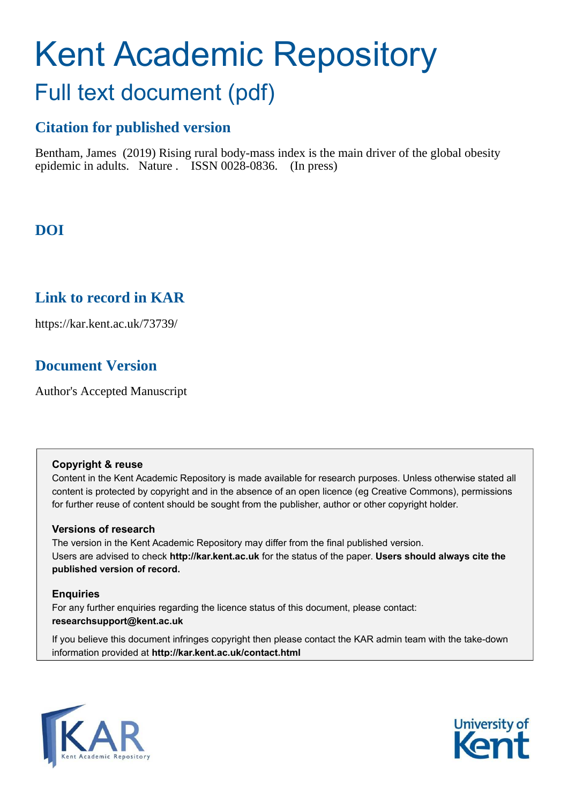# Kent Academic Repository Full text document (pdf)

# **Citation for published version**

Bentham, James (2019) Rising rural body-mass index is the main driver of the global obesity epidemic in adults. Nature . ISSN 0028-0836. (In press)

# **DOI**

## **Link to record in KAR**

https://kar.kent.ac.uk/73739/

# **Document Version**

Author's Accepted Manuscript

## **Copyright & reuse**

Content in the Kent Academic Repository is made available for research purposes. Unless otherwise stated all content is protected by copyright and in the absence of an open licence (eg Creative Commons), permissions for further reuse of content should be sought from the publisher, author or other copyright holder.

## **Versions of research**

The version in the Kent Academic Repository may differ from the final published version. Users are advised to check **http://kar.kent.ac.uk** for the status of the paper. **Users should always cite the published version of record.**

## **Enquiries**

For any further enquiries regarding the licence status of this document, please contact: **researchsupport@kent.ac.uk**

If you believe this document infringes copyright then please contact the KAR admin team with the take-down information provided at **http://kar.kent.ac.uk/contact.html**



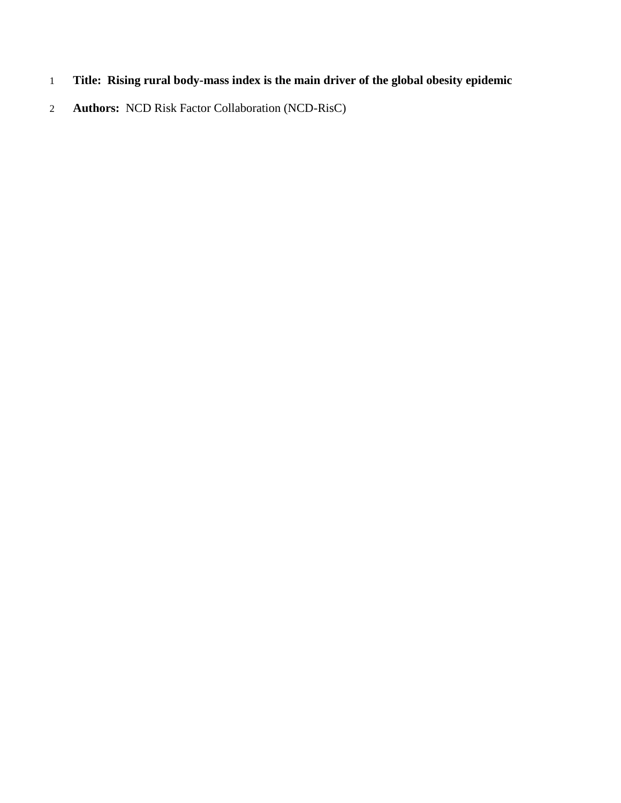- **Title: Rising rural body-mass index is the main driver of the global obesity epidemic**
- **Authors:** NCD Risk Factor Collaboration (NCD-RisC)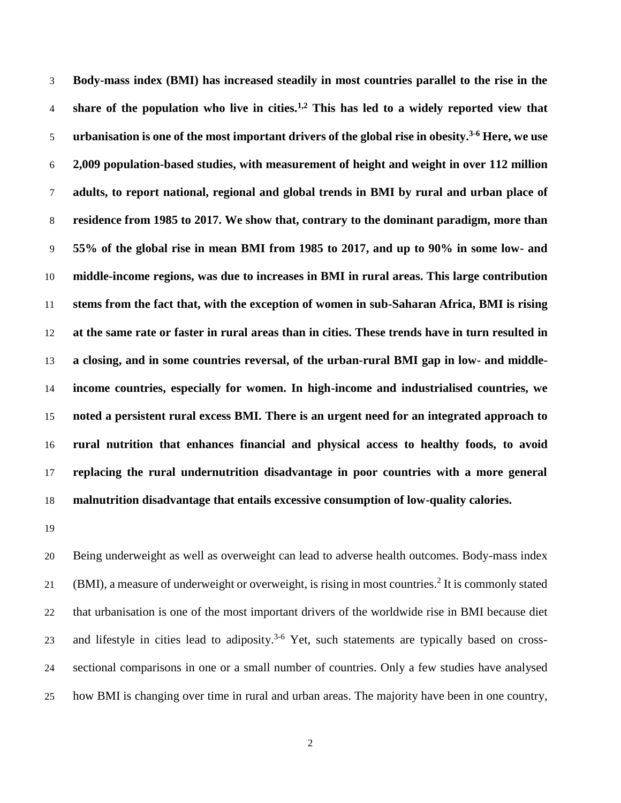**Body-mass index (BMI) has increased steadily in most countries parallel to the rise in the**  4 share of the population who live in cities.<sup>1,2</sup> This has led to a widely reported view that **urbanisation is one of the most important drivers of the global rise in obesity.<sup>3-6</sup> Here, we use 2,009 population-based studies, with measurement of height and weight in over 112 million adults, to report national, regional and global trends in BMI by rural and urban place of residence from 1985 to 2017. We show that, contrary to the dominant paradigm, more than 55% of the global rise in mean BMI from 1985 to 2017, and up to 90% in some low- and middle-income regions, was due to increases in BMI in rural areas. This large contribution stems from the fact that, with the exception of women in sub-Saharan Africa, BMI is rising at the same rate or faster in rural areas than in cities. These trends have in turn resulted in a closing, and in some countries reversal, of the urban-rural BMI gap in low- and middle- income countries, especially for women. In high-income and industrialised countries, we noted a persistent rural excess BMI. There is an urgent need for an integrated approach to rural nutrition that enhances financial and physical access to healthy foods, to avoid replacing the rural undernutrition disadvantage in poor countries with a more general malnutrition disadvantage that entails excessive consumption of low-quality calories.** 

 Being underweight as well as overweight can lead to adverse health outcomes. Body-mass index 21 (BMI), a measure of underweight or overweight, is rising in most countries.<sup>2</sup> It is commonly stated that urbanisation is one of the most important drivers of the worldwide rise in BMI because diet 23 and lifestyle in cities lead to adiposity.<sup>3-6</sup> Yet, such statements are typically based on cross- sectional comparisons in one or a small number of countries. Only a few studies have analysed how BMI is changing over time in rural and urban areas. The majority have been in one country,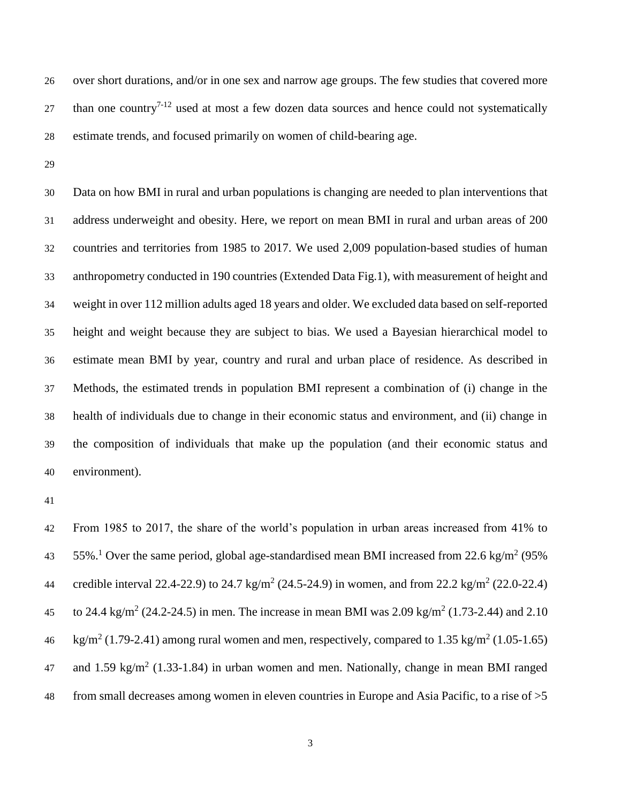over short durations, and/or in one sex and narrow age groups. The few studies that covered more 27 than one country<sup>7-12</sup> used at most a few dozen data sources and hence could not systematically estimate trends, and focused primarily on women of child-bearing age.

 Data on how BMI in rural and urban populations is changing are needed to plan interventions that address underweight and obesity. Here, we report on mean BMI in rural and urban areas of 200 countries and territories from 1985 to 2017. We used 2,009 population-based studies of human anthropometry conducted in 190 countries (Extended Data Fig.1), with measurement of height and weight in over 112 million adults aged 18 years and older. We excluded data based on self-reported height and weight because they are subject to bias. We used a Bayesian hierarchical model to estimate mean BMI by year, country and rural and urban place of residence. As described in Methods, the estimated trends in population BMI represent a combination of (i) change in the health of individuals due to change in their economic status and environment, and (ii) change in the composition of individuals that make up the population (and their economic status and environment).

 From 1985 to 2017, the share of the world's population in urban areas increased from 41% to 43 55%.<sup>1</sup> Over the same period, global age-standardised mean BMI increased from 22.6 kg/m<sup>2</sup> (95%) 44 credible interval 22.4-22.9) to 24.7 kg/m<sup>2</sup> (24.5-24.9) in women, and from 22.2 kg/m<sup>2</sup> (22.0-22.4) 45 to 24.4 kg/m<sup>2</sup> (24.2-24.5) in men. The increase in mean BMI was 2.09 kg/m<sup>2</sup> (1.73-2.44) and 2.10 46 kg/m<sup>2</sup> (1.79-2.41) among rural women and men, respectively, compared to 1.35 kg/m<sup>2</sup> (1.05-1.65) and 1.59 kg/m<sup>2</sup> (1.33-1.84) in urban women and men. Nationally, change in mean BMI ranged from small decreases among women in eleven countries in Europe and Asia Pacific, to a rise of >5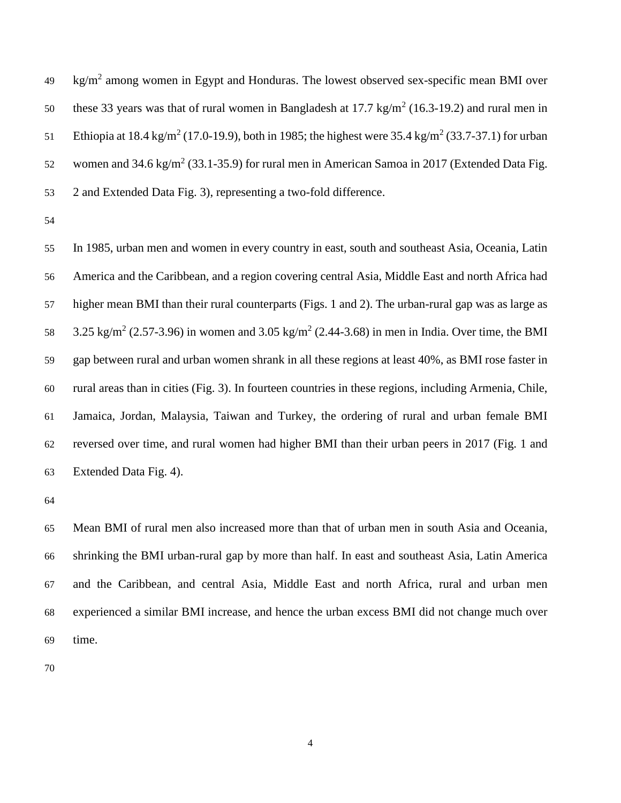kg/m<sup>2</sup> among women in Egypt and Honduras. The lowest observed sex-specific mean BMI over these 33 years was that of rural women in Bangladesh at  $17.7 \text{ kg/m}^2$  (16.3-19.2) and rural men in 51 Ethiopia at 18.4 kg/m<sup>2</sup> (17.0-19.9), both in 1985; the highest were 35.4 kg/m<sup>2</sup> (33.7-37.1) for urban 52 women and  $34.6 \text{ kg/m}^2$  (33.1-35.9) for rural men in American Samoa in 2017 (Extended Data Fig. 2 and Extended Data Fig. 3), representing a two-fold difference.

 In 1985, urban men and women in every country in east, south and southeast Asia, Oceania, Latin America and the Caribbean, and a region covering central Asia, Middle East and north Africa had higher mean BMI than their rural counterparts (Figs. 1 and 2). The urban-rural gap was as large as 58 3.25 kg/m<sup>2</sup> (2.57-3.96) in women and 3.05 kg/m<sup>2</sup> (2.44-3.68) in men in India. Over time, the BMI gap between rural and urban women shrank in all these regions at least 40%, as BMI rose faster in rural areas than in cities (Fig. 3). In fourteen countries in these regions, including Armenia, Chile, Jamaica, Jordan, Malaysia, Taiwan and Turkey, the ordering of rural and urban female BMI reversed over time, and rural women had higher BMI than their urban peers in 2017 (Fig. 1 and Extended Data Fig. 4).

 Mean BMI of rural men also increased more than that of urban men in south Asia and Oceania, shrinking the BMI urban-rural gap by more than half. In east and southeast Asia, Latin America and the Caribbean, and central Asia, Middle East and north Africa, rural and urban men experienced a similar BMI increase, and hence the urban excess BMI did not change much over time.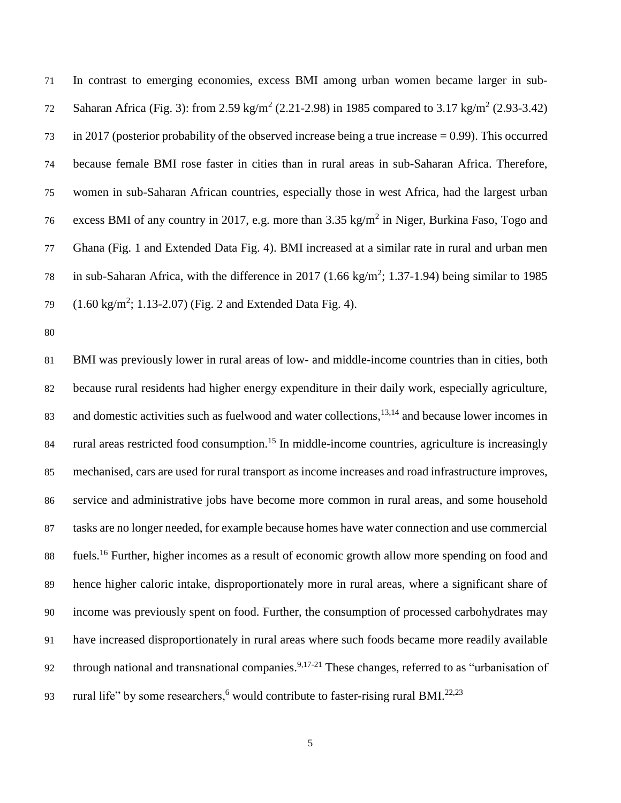In contrast to emerging economies, excess BMI among urban women became larger in sub-72 Saharan Africa (Fig. 3): from 2.59 kg/m<sup>2</sup> (2.21-2.98) in 1985 compared to 3.17 kg/m<sup>2</sup> (2.93-3.42) in 2017 (posterior probability of the observed increase being a true increase = 0.99). This occurred because female BMI rose faster in cities than in rural areas in sub-Saharan Africa. Therefore, women in sub-Saharan African countries, especially those in west Africa, had the largest urban 76 excess BMI of any country in 2017, e.g. more than  $3.35 \text{ kg/m}^2$  in Niger, Burkina Faso, Togo and Ghana (Fig. 1 and Extended Data Fig. 4). BMI increased at a similar rate in rural and urban men 78 in sub-Saharan Africa, with the difference in 2017 (1.66 kg/m<sup>2</sup>; 1.37-1.94) being similar to 1985  $(1.60 \text{ kg/m}^2; 1.13{\text -}2.07)$  (Fig. 2 and Extended Data Fig. 4).

 BMI was previously lower in rural areas of low- and middle-income countries than in cities, both because rural residents had higher energy expenditure in their daily work, especially agriculture, and domestic activities such as fuelwood and water collections, $13,14$  and because lower incomes in 84 rural areas restricted food consumption.<sup>15</sup> In middle-income countries, agriculture is increasingly mechanised, cars are used for rural transport as income increases and road infrastructure improves, service and administrative jobs have become more common in rural areas, and some household tasks are no longer needed, for example because homes have water connection and use commercial fuels.<sup>16</sup> Further, higher incomes as a result of economic growth allow more spending on food and hence higher caloric intake, disproportionately more in rural areas, where a significant share of income was previously spent on food. Further, the consumption of processed carbohydrates may have increased disproportionately in rural areas where such foods became more readily available 92 through national and transnational companies.<sup>9,17-21</sup> These changes, referred to as "urbanisation of 93 rural life" by some researchers, <sup>6</sup> would contribute to faster-rising rural BMI.<sup>22,23</sup>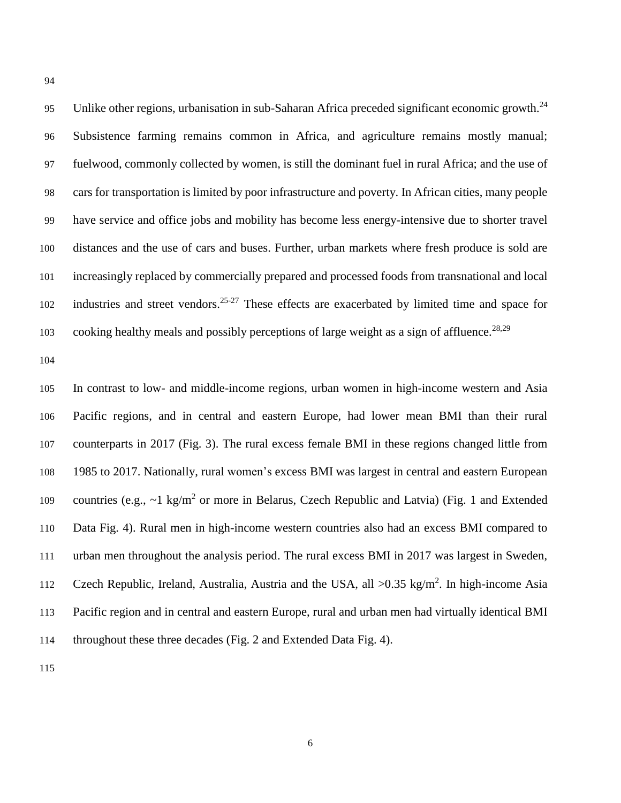95 Unlike other regions, urbanisation in sub-Saharan Africa preceded significant economic growth.<sup>24</sup> Subsistence farming remains common in Africa, and agriculture remains mostly manual; fuelwood, commonly collected by women, is still the dominant fuel in rural Africa; and the use of cars for transportation is limited by poor infrastructure and poverty. In African cities, many people have service and office jobs and mobility has become less energy-intensive due to shorter travel distances and the use of cars and buses. Further, urban markets where fresh produce is sold are increasingly replaced by commercially prepared and processed foods from transnational and local industries and street vendors.<sup>25-27</sup> These effects are exacerbated by limited time and space for cooking healthy meals and possibly perceptions of large weight as a sign of affluence.<sup>28,29</sup>

 In contrast to low- and middle-income regions, urban women in high-income western and Asia Pacific regions, and in central and eastern Europe, had lower mean BMI than their rural counterparts in 2017 (Fig. 3). The rural excess female BMI in these regions changed little from 1985 to 2017. Nationally, rural women's excess BMI was largest in central and eastern European 109 countries (e.g.,  $\sim$ 1 kg/m<sup>2</sup> or more in Belarus, Czech Republic and Latvia) (Fig. 1 and Extended Data Fig. 4). Rural men in high-income western countries also had an excess BMI compared to urban men throughout the analysis period. The rural excess BMI in 2017 was largest in Sweden, 112 Czech Republic, Ireland, Australia, Austria and the USA, all >0.35 kg/m<sup>2</sup>. In high-income Asia Pacific region and in central and eastern Europe, rural and urban men had virtually identical BMI throughout these three decades (Fig. 2 and Extended Data Fig. 4).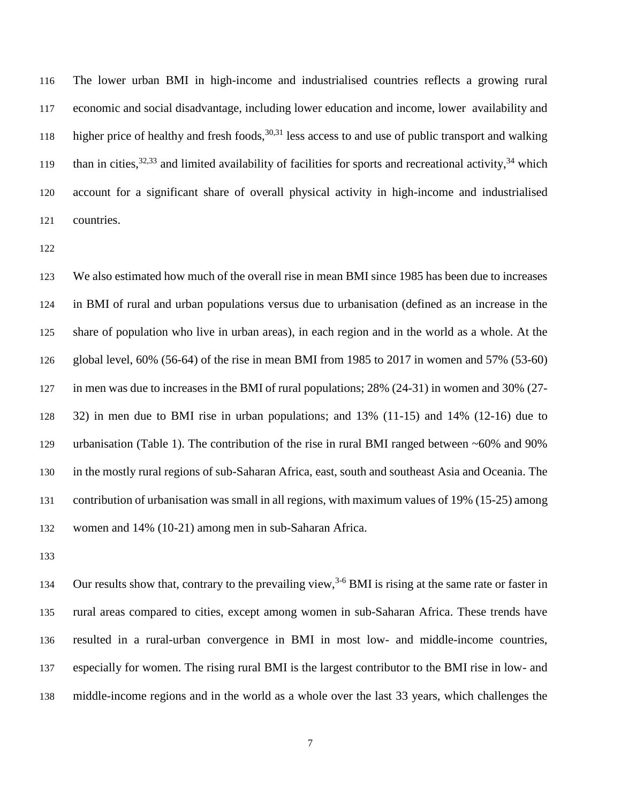The lower urban BMI in high-income and industrialised countries reflects a growing rural economic and social disadvantage, including lower education and income, lower availability and higher price of healthy and fresh foods,  $30,31$  less access to and use of public transport and walking than in cities,  $32,33$  and limited availability of facilities for sports and recreational activity,  $34$  which account for a significant share of overall physical activity in high-income and industrialised countries.

 We also estimated how much of the overall rise in mean BMI since 1985 has been due to increases in BMI of rural and urban populations versus due to urbanisation (defined as an increase in the share of population who live in urban areas), in each region and in the world as a whole. At the global level, 60% (56-64) of the rise in mean BMI from 1985 to 2017 in women and 57% (53-60) in men was due to increases in the BMI of rural populations; 28% (24-31) in women and 30% (27- 32) in men due to BMI rise in urban populations; and 13% (11-15) and 14% (12-16) due to urbanisation (Table 1). The contribution of the rise in rural BMI ranged between ~60% and 90% in the mostly rural regions of sub-Saharan Africa, east, south and southeast Asia and Oceania. The contribution of urbanisation was small in all regions, with maximum values of 19% (15-25) among women and 14% (10-21) among men in sub-Saharan Africa.

134 Our results show that, contrary to the prevailing view,<sup>3-6</sup> BMI is rising at the same rate or faster in rural areas compared to cities, except among women in sub-Saharan Africa. These trends have resulted in a rural-urban convergence in BMI in most low- and middle-income countries, especially for women. The rising rural BMI is the largest contributor to the BMI rise in low- and middle-income regions and in the world as a whole over the last 33 years, which challenges the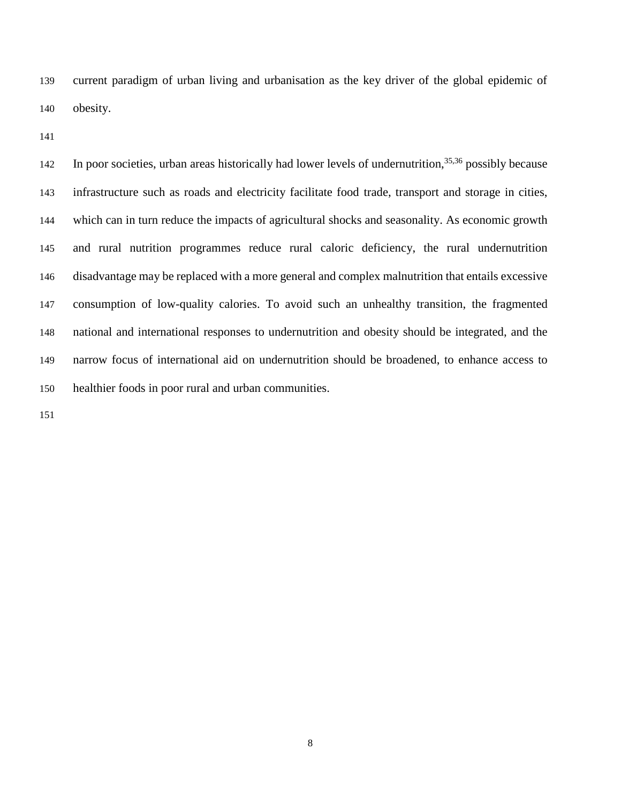current paradigm of urban living and urbanisation as the key driver of the global epidemic of obesity.

142 In poor societies, urban areas historically had lower levels of undernutrition,  $35,36$  possibly because infrastructure such as roads and electricity facilitate food trade, transport and storage in cities, which can in turn reduce the impacts of agricultural shocks and seasonality. As economic growth and rural nutrition programmes reduce rural caloric deficiency, the rural undernutrition disadvantage may be replaced with a more general and complex malnutrition that entails excessive consumption of low-quality calories. To avoid such an unhealthy transition, the fragmented national and international responses to undernutrition and obesity should be integrated, and the narrow focus of international aid on undernutrition should be broadened, to enhance access to healthier foods in poor rural and urban communities.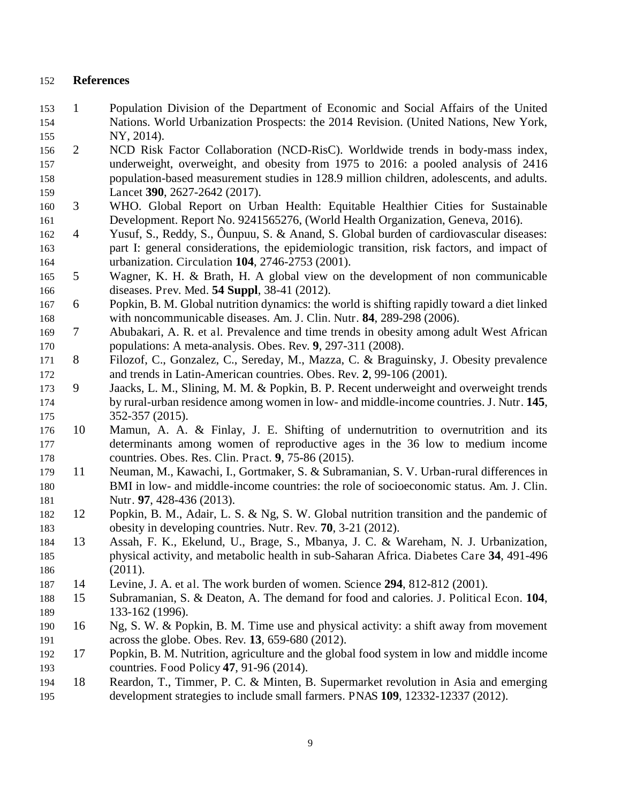## **References**

- 1 Population Division of the Department of Economic and Social Affairs of the United Nations. World Urbanization Prospects: the 2014 Revision. (United Nations, New York, NY, 2014).
- 2 NCD Risk Factor Collaboration (NCD-RisC). Worldwide trends in body-mass index, underweight, overweight, and obesity from 1975 to 2016: a pooled analysis of 2416 population-based measurement studies in 128.9 million children, adolescents, and adults. Lancet **390**, 2627-2642 (2017).
- 3 WHO. Global Report on Urban Health: Equitable Healthier Cities for Sustainable Development. Report No. 9241565276, (World Health Organization, Geneva, 2016).
- 4 Yusuf, S., Reddy, S., Ôunpuu, S. & Anand, S. Global burden of cardiovascular diseases: part I: general considerations, the epidemiologic transition, risk factors, and impact of urbanization. Circulation **104**, 2746-2753 (2001).
- 5 Wagner, K. H. & Brath, H. A global view on the development of non communicable diseases. Prev. Med. **54 Suppl**, 38-41 (2012).
- 6 Popkin, B. M. Global nutrition dynamics: the world is shifting rapidly toward a diet linked with noncommunicable diseases. Am. J. Clin. Nutr. **84**, 289-298 (2006).
- 7 Abubakari, A. R. et al. Prevalence and time trends in obesity among adult West African populations: A meta-analysis. Obes. Rev. **9**, 297-311 (2008).
- 8 Filozof, C., Gonzalez, C., Sereday, M., Mazza, C. & Braguinsky, J. Obesity prevalence and trends in Latin-American countries. Obes. Rev. **2**, 99-106 (2001).
- 9 Jaacks, L. M., Slining, M. M. & Popkin, B. P. Recent underweight and overweight trends by rural-urban residence among women in low- and middle-income countries. J. Nutr. **145**, 352-357 (2015).
- 10 Mamun, A. A. & Finlay, J. E. Shifting of undernutrition to overnutrition and its determinants among women of reproductive ages in the 36 low to medium income countries. Obes. Res. Clin. Pract. **9**, 75-86 (2015).
- 11 Neuman, M., Kawachi, I., Gortmaker, S. & Subramanian, S. V. Urban-rural differences in BMI in low- and middle-income countries: the role of socioeconomic status. Am. J. Clin. Nutr. **97**, 428-436 (2013).
- 12 Popkin, B. M., Adair, L. S. & Ng, S. W. Global nutrition transition and the pandemic of obesity in developing countries. Nutr. Rev. **70**, 3-21 (2012).
- 13 Assah, F. K., Ekelund, U., Brage, S., Mbanya, J. C. & Wareham, N. J. Urbanization, physical activity, and metabolic health in sub-Saharan Africa. Diabetes Care **34**, 491-496 (2011).
- 14 Levine, J. A. et al. The work burden of women. Science **294**, 812-812 (2001).
- 15 Subramanian, S. & Deaton, A. The demand for food and calories. J. Political Econ. **104**, 133-162 (1996).
- 190 16 Ng, S. W. & Popkin, B. M. Time use and physical activity: a shift away from movement across the globe. Obes. Rev. **13**, 659-680 (2012).
- 17 Popkin, B. M. Nutrition, agriculture and the global food system in low and middle income countries. Food Policy **47**, 91-96 (2014).
- 18 Reardon, T., Timmer, P. C. & Minten, B. Supermarket revolution in Asia and emerging development strategies to include small farmers. PNAS **109**, 12332-12337 (2012).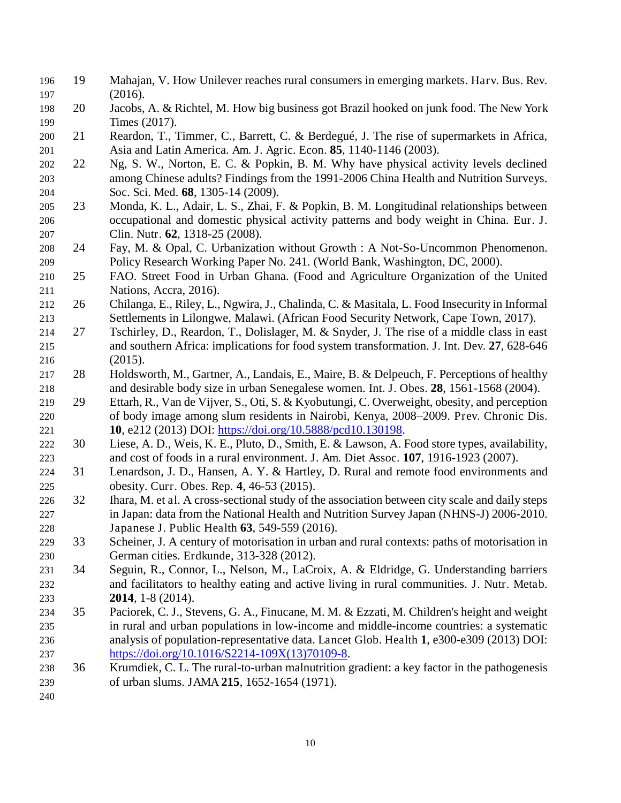- 19 Mahajan, V. How Unilever reaches rural consumers in emerging markets. Harv. Bus. Rev. (2016).
- 20 Jacobs, A. & Richtel, M. How big business got Brazil hooked on junk food. The New York 199 Times (2017).
- 21 Reardon, T., Timmer, C., Barrett, C. & Berdegué, J. The rise of supermarkets in Africa, Asia and Latin America. Am. J. Agric. Econ. **85**, 1140-1146 (2003).
- 22 Ng, S. W., Norton, E. C. & Popkin, B. M. Why have physical activity levels declined among Chinese adults? Findings from the 1991-2006 China Health and Nutrition Surveys. Soc. Sci. Med. **68**, 1305-14 (2009).
- 23 Monda, K. L., Adair, L. S., Zhai, F. & Popkin, B. M. Longitudinal relationships between occupational and domestic physical activity patterns and body weight in China. Eur. J. Clin. Nutr. **62**, 1318-25 (2008).
- 24 Fay, M. & Opal, C. Urbanization without Growth : A Not-So-Uncommon Phenomenon. Policy Research Working Paper No. 241. (World Bank, Washington, DC, 2000).
- 25 FAO. Street Food in Urban Ghana. (Food and Agriculture Organization of the United Nations, Accra, 2016).
- 26 Chilanga, E., Riley, L., Ngwira, J., Chalinda, C. & Masitala, L. Food Insecurity in Informal Settlements in Lilongwe, Malawi. (African Food Security Network, Cape Town, 2017).
- 27 Tschirley, D., Reardon, T., Dolislager, M. & Snyder, J. The rise of a middle class in east and southern Africa: implications for food system transformation. J. Int. Dev. **27**, 628-646 (2015).
- 28 Holdsworth, M., Gartner, A., Landais, E., Maire, B. & Delpeuch, F. Perceptions of healthy and desirable body size in urban Senegalese women. Int. J. Obes. **28**, 1561-1568 (2004).
- 29 Ettarh, R., Van de Vijver, S., Oti, S. & Kyobutungi, C. Overweight, obesity, and perception of body image among slum residents in Nairobi, Kenya, 2008–2009. Prev. Chronic Dis. **10**, e212 (2013) DOI: https://doi.org/10.5888/pcd10.130198.
- 30 Liese, A. D., Weis, K. E., Pluto, D., Smith, E. & Lawson, A. Food store types, availability, and cost of foods in a rural environment. J. Am. Diet Assoc. **107**, 1916-1923 (2007).
- 31 Lenardson, J. D., Hansen, A. Y. & Hartley, D. Rural and remote food environments and obesity. Curr. Obes. Rep. **4**, 46-53 (2015).
- 32 Ihara, M. et al. A cross-sectional study of the association between city scale and daily steps in Japan: data from the National Health and Nutrition Survey Japan (NHNS-J) 2006-2010. Japanese J. Public Health **63**, 549-559 (2016).
- 33 Scheiner, J. A century of motorisation in urban and rural contexts: paths of motorisation in German cities. Erdkunde, 313-328 (2012).
- 34 Seguin, R., Connor, L., Nelson, M., LaCroix, A. & Eldridge, G. Understanding barriers and facilitators to healthy eating and active living in rural communities. J. Nutr. Metab. **2014**, 1-8 (2014).
- 35 Paciorek, C. J., Stevens, G. A., Finucane, M. M. & Ezzati, M. Children's height and weight in rural and urban populations in low-income and middle-income countries: a systematic analysis of population-representative data. Lancet Glob. Health **1**, e300-e309 (2013) DOI: https://doi.org/10.1016/S2214-109X(13)70109-8.
- 36 Krumdiek, C. L. The rural-to-urban malnutrition gradient: a key factor in the pathogenesis of urban slums. JAMA **215**, 1652-1654 (1971).
-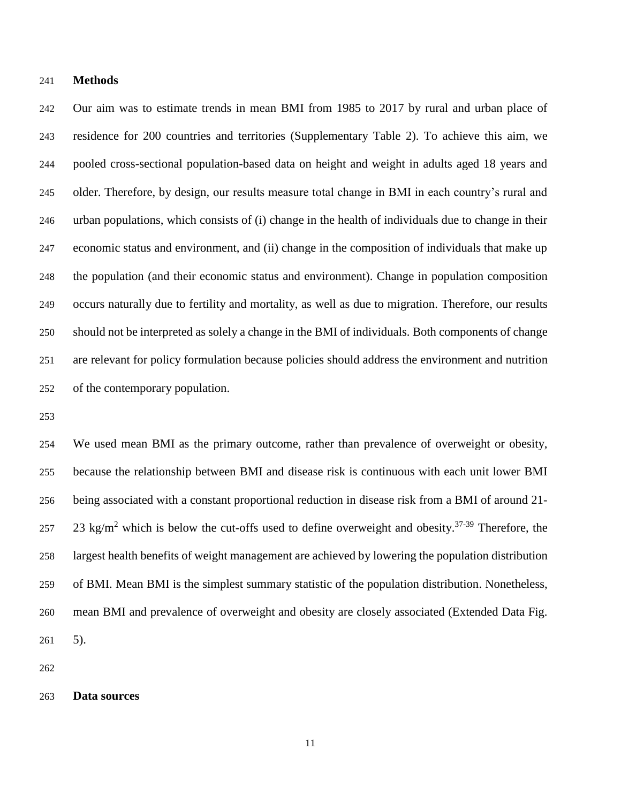#### **Methods**

 Our aim was to estimate trends in mean BMI from 1985 to 2017 by rural and urban place of residence for 200 countries and territories (Supplementary Table 2). To achieve this aim, we pooled cross-sectional population-based data on height and weight in adults aged 18 years and older. Therefore, by design, our results measure total change in BMI in each country's rural and urban populations, which consists of (i) change in the health of individuals due to change in their economic status and environment, and (ii) change in the composition of individuals that make up the population (and their economic status and environment). Change in population composition occurs naturally due to fertility and mortality, as well as due to migration. Therefore, our results should not be interpreted as solely a change in the BMI of individuals. Both components of change are relevant for policy formulation because policies should address the environment and nutrition of the contemporary population.

 We used mean BMI as the primary outcome, rather than prevalence of overweight or obesity, because the relationship between BMI and disease risk is continuous with each unit lower BMI being associated with a constant proportional reduction in disease risk from a BMI of around 21- 257 23 kg/m<sup>2</sup> which is below the cut-offs used to define overweight and obesity.<sup>37-39</sup> Therefore, the largest health benefits of weight management are achieved by lowering the population distribution of BMI. Mean BMI is the simplest summary statistic of the population distribution. Nonetheless, mean BMI and prevalence of overweight and obesity are closely associated (Extended Data Fig. 5).

#### **Data sources**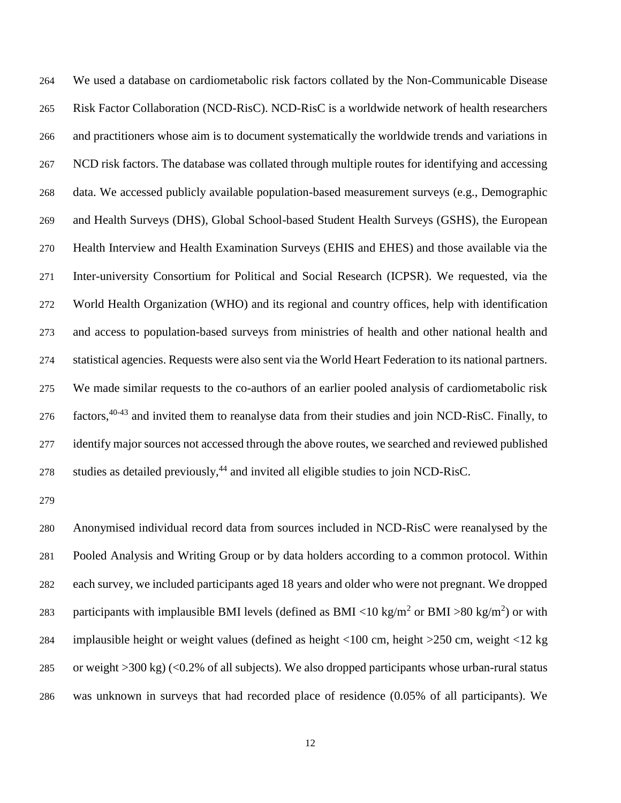We used a database on cardiometabolic risk factors collated by the Non-Communicable Disease Risk Factor Collaboration (NCD-RisC). NCD-RisC is a worldwide network of health researchers and practitioners whose aim is to document systematically the worldwide trends and variations in NCD risk factors. The database was collated through multiple routes for identifying and accessing data. We accessed publicly available population-based measurement surveys (e.g., Demographic and Health Surveys (DHS), Global School-based Student Health Surveys (GSHS), the European Health Interview and Health Examination Surveys (EHIS and EHES) and those available via the Inter-university Consortium for Political and Social Research (ICPSR). We requested, via the World Health Organization (WHO) and its regional and country offices, help with identification and access to population-based surveys from ministries of health and other national health and statistical agencies. Requests were also sent via the World Heart Federation to its national partners. We made similar requests to the co-authors of an earlier pooled analysis of cardiometabolic risk 276 factors,<sup>40-43</sup> and invited them to reanalyse data from their studies and join NCD-RisC. Finally, to identify major sources not accessed through the above routes, we searched and reviewed published 278 studies as detailed previously,<sup>44</sup> and invited all eligible studies to join NCD-RisC.

 Anonymised individual record data from sources included in NCD-RisC were reanalysed by the Pooled Analysis and Writing Group or by data holders according to a common protocol. Within each survey, we included participants aged 18 years and older who were not pregnant. We dropped 283 participants with implausible BMI levels (defined as BMI <10 kg/m<sup>2</sup> or BMI >80 kg/m<sup>2</sup>) or with implausible height or weight values (defined as height <100 cm, height >250 cm, weight <12 kg or weight >300 kg) (<0.2% of all subjects). We also dropped participants whose urban-rural status was unknown in surveys that had recorded place of residence (0.05% of all participants). We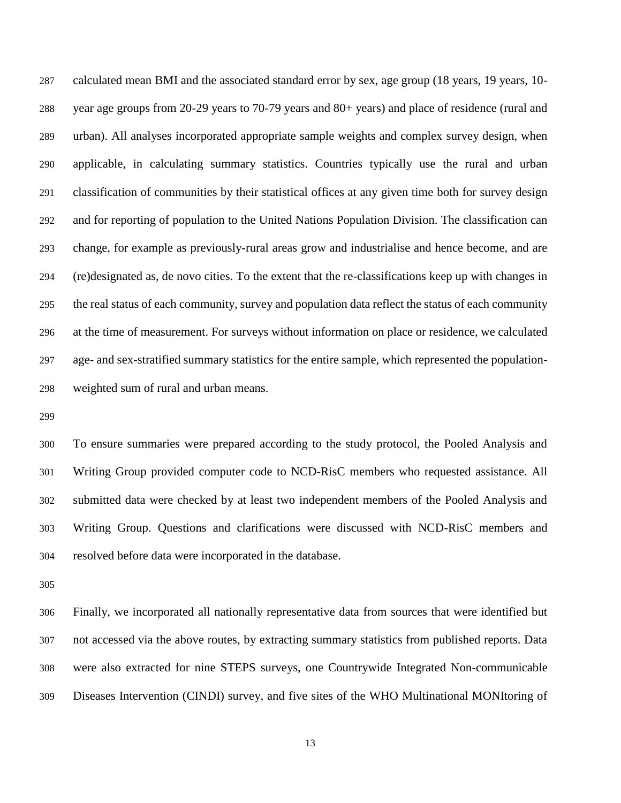calculated mean BMI and the associated standard error by sex, age group (18 years, 19 years, 10- year age groups from 20-29 years to 70-79 years and 80+ years) and place of residence (rural and urban). All analyses incorporated appropriate sample weights and complex survey design, when applicable, in calculating summary statistics. Countries typically use the rural and urban classification of communities by their statistical offices at any given time both for survey design and for reporting of population to the United Nations Population Division. The classification can change, for example as previously-rural areas grow and industrialise and hence become, and are (re)designated as, de novo cities. To the extent that the re-classifications keep up with changes in the real status of each community, survey and population data reflect the status of each community at the time of measurement. For surveys without information on place or residence, we calculated age- and sex-stratified summary statistics for the entire sample, which represented the population-weighted sum of rural and urban means.

 To ensure summaries were prepared according to the study protocol, the Pooled Analysis and Writing Group provided computer code to NCD-RisC members who requested assistance. All submitted data were checked by at least two independent members of the Pooled Analysis and Writing Group. Questions and clarifications were discussed with NCD-RisC members and resolved before data were incorporated in the database.

 Finally, we incorporated all nationally representative data from sources that were identified but not accessed via the above routes, by extracting summary statistics from published reports. Data were also extracted for nine STEPS surveys, one Countrywide Integrated Non-communicable Diseases Intervention (CINDI) survey, and five sites of the WHO Multinational MONItoring of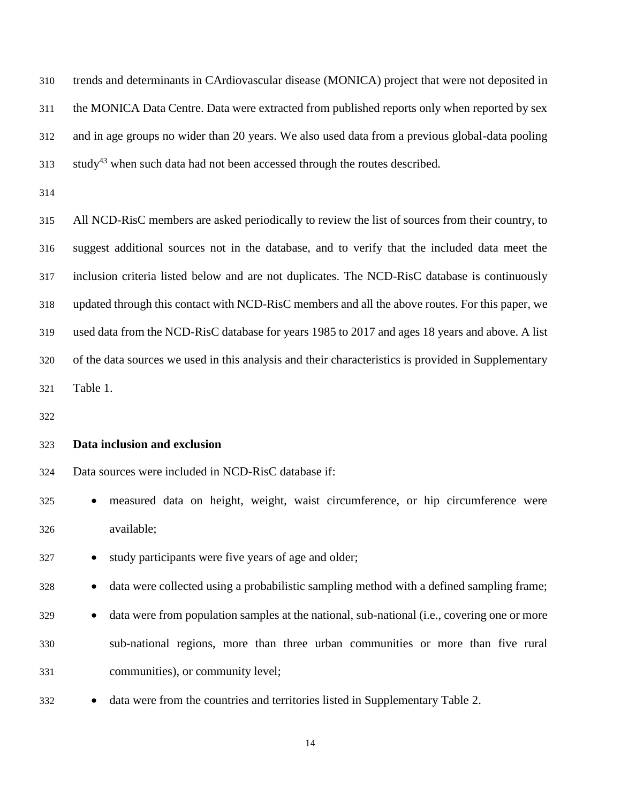trends and determinants in CArdiovascular disease (MONICA) project that were not deposited in the MONICA Data Centre. Data were extracted from published reports only when reported by sex and in age groups no wider than 20 years. We also used data from a previous global-data pooling study<sup>43</sup> when such data had not been accessed through the routes described.

 All NCD-RisC members are asked periodically to review the list of sources from their country, to suggest additional sources not in the database, and to verify that the included data meet the inclusion criteria listed below and are not duplicates. The NCD-RisC database is continuously updated through this contact with NCD-RisC members and all the above routes. For this paper, we used data from the NCD-RisC database for years 1985 to 2017 and ages 18 years and above. A list of the data sources we used in this analysis and their characteristics is provided in Supplementary Table 1.

#### **Data inclusion and exclusion**

Data sources were included in NCD-RisC database if:

 measured data on height, weight, waist circumference, or hip circumference were available;

327 • study participants were five years of age and older;

328 • data were collected using a probabilistic sampling method with a defined sampling frame;

- **data were from population samples at the national, sub-national (i.e., covering one or more**  sub-national regions, more than three urban communities or more than five rural communities), or community level;
- **data were from the countries and territories listed in Supplementary Table 2.**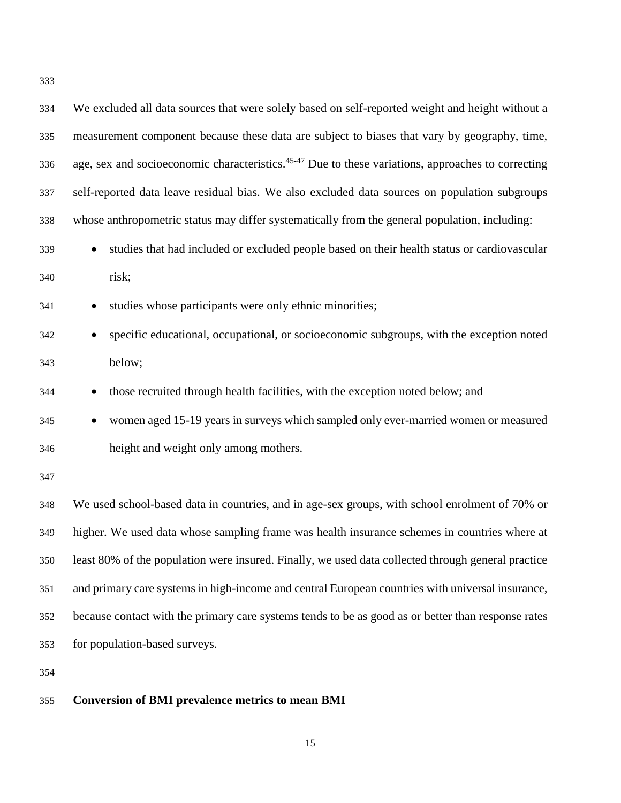| 334 | We excluded all data sources that were solely based on self-reported weight and height without a               |
|-----|----------------------------------------------------------------------------------------------------------------|
| 335 | measurement component because these data are subject to biases that vary by geography, time,                   |
| 336 | age, sex and socioeconomic characteristics. <sup>45-47</sup> Due to these variations, approaches to correcting |
| 337 | self-reported data leave residual bias. We also excluded data sources on population subgroups                  |
| 338 | whose anthropometric status may differ systematically from the general population, including:                  |
| 339 | studies that had included or excluded people based on their health status or cardiovascular<br>$\bullet$       |
| 340 | risk;                                                                                                          |
| 341 | studies whose participants were only ethnic minorities;<br>$\bullet$                                           |
| 342 | specific educational, occupational, or socioeconomic subgroups, with the exception noted<br>$\bullet$          |
| 343 | below;                                                                                                         |
| 344 | those recruited through health facilities, with the exception noted below; and                                 |
| 345 | women aged 15-19 years in surveys which sampled only ever-married women or measured<br>$\bullet$               |
| 346 | height and weight only among mothers.                                                                          |
| 347 |                                                                                                                |
| 348 | We used school-based data in countries, and in age-sex groups, with school enrolment of 70% or                 |
| 349 | higher. We used data whose sampling frame was health insurance schemes in countries where at                   |
| 350 | least 80% of the population were insured. Finally, we used data collected through general practice             |
| 351 | and primary care systems in high-income and central European countries with universal insurance,               |
| 352 | because contact with the primary care systems tends to be as good as or better than response rates             |
| 353 | for population-based surveys.                                                                                  |
| 354 |                                                                                                                |

# **Conversion of BMI prevalence metrics to mean BMI**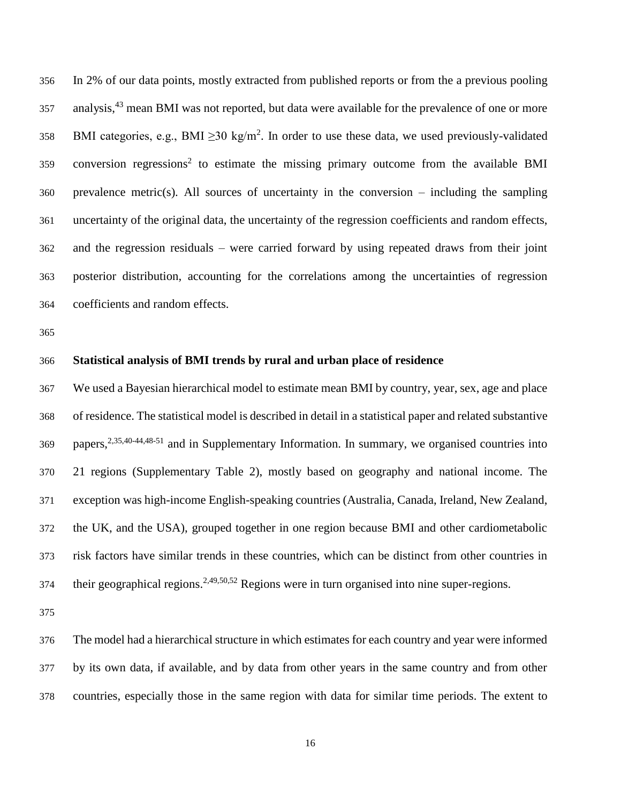In 2% of our data points, mostly extracted from published reports or from the a previous pooling analysis,<sup>43</sup> mean BMI was not reported, but data were available for the prevalence of one or more 358 BMI categories, e.g., BMI  $\geq$ 30 kg/m<sup>2</sup>. In order to use these data, we used previously-validated conversion regressions<sup>2</sup> to estimate the missing primary outcome from the available BMI prevalence metric(s). All sources of uncertainty in the conversion – including the sampling uncertainty of the original data, the uncertainty of the regression coefficients and random effects, and the regression residuals – were carried forward by using repeated draws from their joint posterior distribution, accounting for the correlations among the uncertainties of regression coefficients and random effects.

#### **Statistical analysis of BMI trends by rural and urban place of residence**

 We used a Bayesian hierarchical model to estimate mean BMI by country, year, sex, age and place of residence. The statistical model is described in detail in a statistical paper and related substantive 369 papers,<sup>2,35,40-44,48-51</sup> and in Supplementary Information. In summary, we organised countries into 21 regions (Supplementary Table 2), mostly based on geography and national income. The exception was high-income English-speaking countries (Australia, Canada, Ireland, New Zealand, the UK, and the USA), grouped together in one region because BMI and other cardiometabolic risk factors have similar trends in these countries, which can be distinct from other countries in 374 their geographical regions.<sup>2,49,50,52</sup> Regions were in turn organised into nine super-regions.

 The model had a hierarchical structure in which estimates for each country and year were informed by its own data, if available, and by data from other years in the same country and from other countries, especially those in the same region with data for similar time periods. The extent to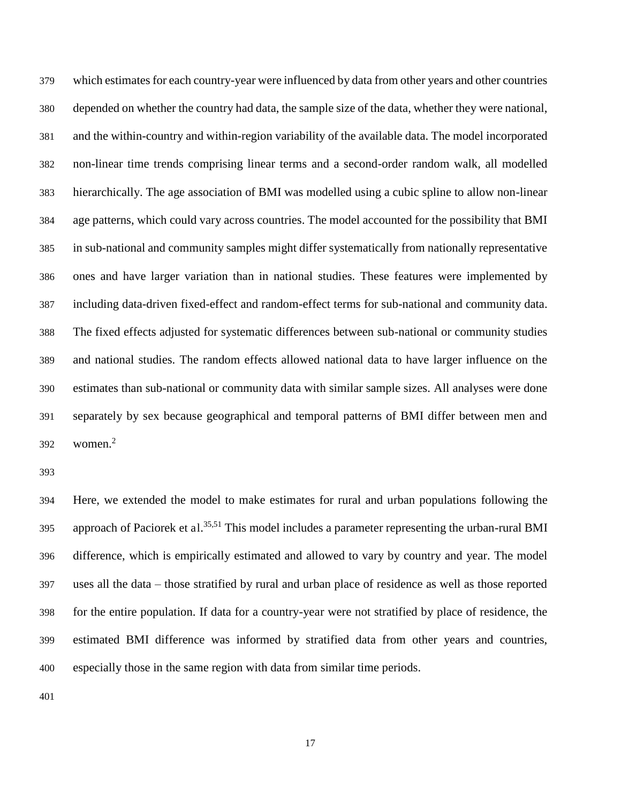which estimates for each country-year were influenced by data from other years and other countries depended on whether the country had data, the sample size of the data, whether they were national, and the within-country and within-region variability of the available data. The model incorporated non-linear time trends comprising linear terms and a second-order random walk, all modelled hierarchically. The age association of BMI was modelled using a cubic spline to allow non-linear age patterns, which could vary across countries. The model accounted for the possibility that BMI in sub-national and community samples might differ systematically from nationally representative ones and have larger variation than in national studies. These features were implemented by including data-driven fixed-effect and random-effect terms for sub-national and community data. The fixed effects adjusted for systematic differences between sub-national or community studies and national studies. The random effects allowed national data to have larger influence on the estimates than sub-national or community data with similar sample sizes. All analyses were done separately by sex because geographical and temporal patterns of BMI differ between men and women.<sup>2</sup> 

 Here, we extended the model to make estimates for rural and urban populations following the 395 approach of Paciorek et al.<sup>35,51</sup> This model includes a parameter representing the urban-rural BMI difference, which is empirically estimated and allowed to vary by country and year. The model uses all the data – those stratified by rural and urban place of residence as well as those reported for the entire population. If data for a country-year were not stratified by place of residence, the estimated BMI difference was informed by stratified data from other years and countries, especially those in the same region with data from similar time periods.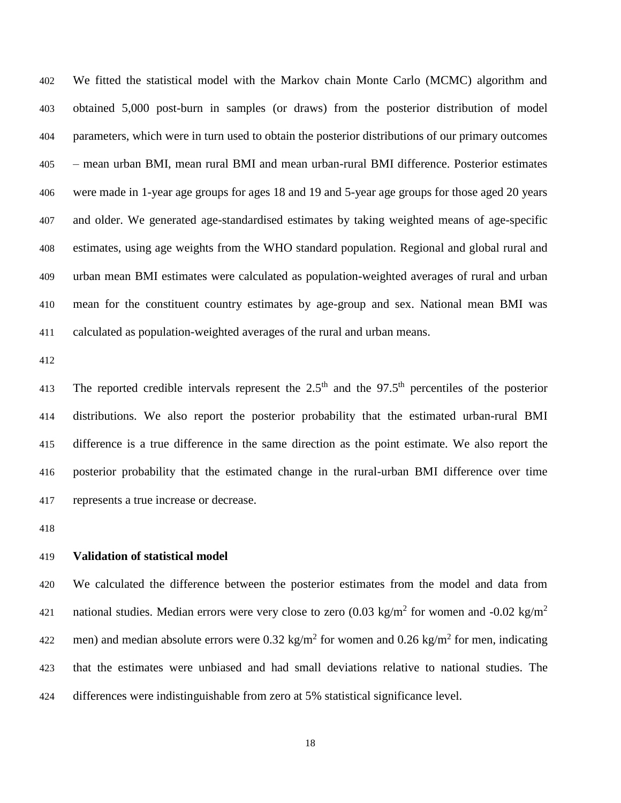We fitted the statistical model with the Markov chain Monte Carlo (MCMC) algorithm and obtained 5,000 post-burn in samples (or draws) from the posterior distribution of model parameters, which were in turn used to obtain the posterior distributions of our primary outcomes – mean urban BMI, mean rural BMI and mean urban-rural BMI difference. Posterior estimates were made in 1-year age groups for ages 18 and 19 and 5-year age groups for those aged 20 years and older. We generated age-standardised estimates by taking weighted means of age-specific estimates, using age weights from the WHO standard population. Regional and global rural and urban mean BMI estimates were calculated as population-weighted averages of rural and urban mean for the constituent country estimates by age-group and sex. National mean BMI was calculated as population-weighted averages of the rural and urban means.

The reported credible intervals represent the  $2.5<sup>th</sup>$  and the 97.5<sup>th</sup> percentiles of the posterior distributions. We also report the posterior probability that the estimated urban-rural BMI difference is a true difference in the same direction as the point estimate. We also report the posterior probability that the estimated change in the rural-urban BMI difference over time represents a true increase or decrease.

#### **Validation of statistical model**

 We calculated the difference between the posterior estimates from the model and data from national studies. Median errors were very close to zero (0.03 kg/m<sup>2</sup> for women and -0.02 kg/m<sup>2</sup> 422 men) and median absolute errors were  $0.32 \text{ kg/m}^2$  for women and  $0.26 \text{ kg/m}^2$  for men, indicating that the estimates were unbiased and had small deviations relative to national studies. The differences were indistinguishable from zero at 5% statistical significance level.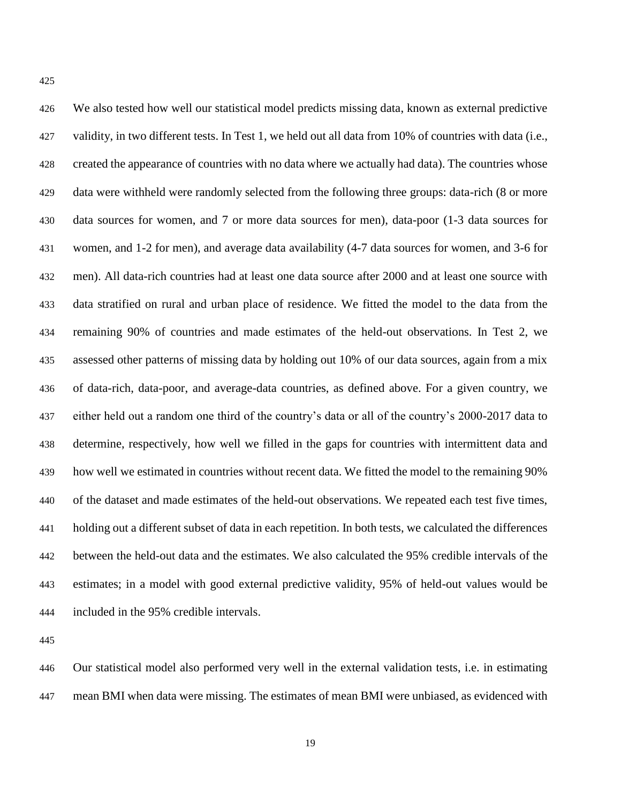| 426 | We also tested how well our statistical model predicts missing data, known as external predictive        |
|-----|----------------------------------------------------------------------------------------------------------|
| 427 | validity, in two different tests. In Test 1, we held out all data from 10% of countries with data (i.e., |
| 428 | created the appearance of countries with no data where we actually had data). The countries whose        |
| 429 | data were withheld were randomly selected from the following three groups: data-rich (8 or more          |
| 430 | data sources for women, and 7 or more data sources for men), data-poor (1-3 data sources for             |
| 431 | women, and 1-2 for men), and average data availability (4-7 data sources for women, and 3-6 for          |
| 432 | men). All data-rich countries had at least one data source after 2000 and at least one source with       |
| 433 | data stratified on rural and urban place of residence. We fitted the model to the data from the          |
| 434 | remaining 90% of countries and made estimates of the held-out observations. In Test 2, we                |
| 435 | assessed other patterns of missing data by holding out 10% of our data sources, again from a mix         |
| 436 | of data-rich, data-poor, and average-data countries, as defined above. For a given country, we           |
| 437 | either held out a random one third of the country's data or all of the country's 2000-2017 data to       |
| 438 | determine, respectively, how well we filled in the gaps for countries with intermittent data and         |
| 439 | how well we estimated in countries without recent data. We fitted the model to the remaining 90%         |
| 440 | of the dataset and made estimates of the held-out observations. We repeated each test five times,        |
| 441 | holding out a different subset of data in each repetition. In both tests, we calculated the differences  |
| 442 | between the held-out data and the estimates. We also calculated the 95% credible intervals of the        |
| 443 | estimates; in a model with good external predictive validity, 95% of held-out values would be            |
| 444 | included in the 95% credible intervals.                                                                  |

 Our statistical model also performed very well in the external validation tests, i.e. in estimating mean BMI when data were missing. The estimates of mean BMI were unbiased, as evidenced with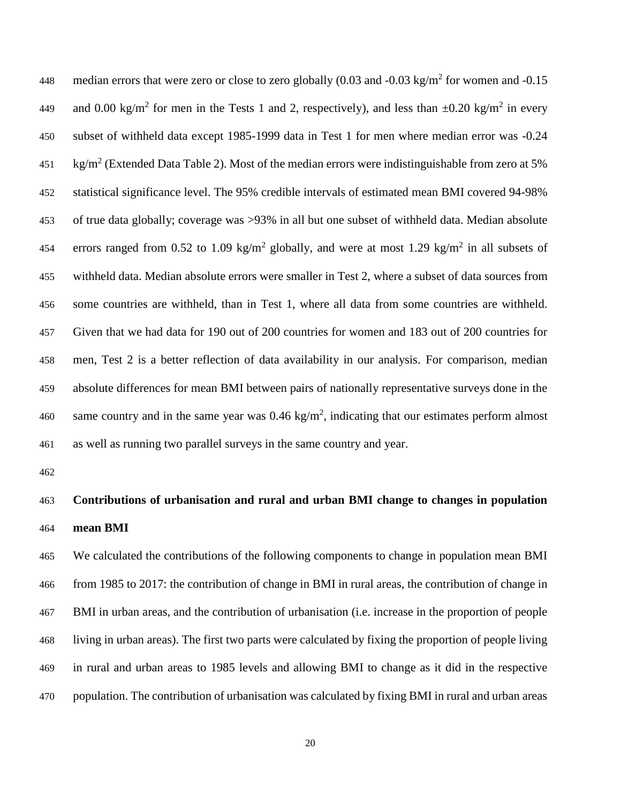448 median errors that were zero or close to zero globally  $(0.03 \text{ and } -0.03 \text{ kg/m}^2)$  for women and  $-0.15$ 449 and 0.00 kg/m<sup>2</sup> for men in the Tests 1 and 2, respectively), and less than  $\pm 0.20$  kg/m<sup>2</sup> in every subset of withheld data except 1985-1999 data in Test 1 for men where median error was -0.24 451 kg/m<sup>2</sup> (Extended Data Table 2). Most of the median errors were indistinguishable from zero at 5% statistical significance level. The 95% credible intervals of estimated mean BMI covered 94-98% of true data globally; coverage was >93% in all but one subset of withheld data. Median absolute 454 errors ranged from 0.52 to 1.09 kg/m<sup>2</sup> globally, and were at most 1.29 kg/m<sup>2</sup> in all subsets of withheld data. Median absolute errors were smaller in Test 2, where a subset of data sources from some countries are withheld, than in Test 1, where all data from some countries are withheld. Given that we had data for 190 out of 200 countries for women and 183 out of 200 countries for men, Test 2 is a better reflection of data availability in our analysis. For comparison, median absolute differences for mean BMI between pairs of nationally representative surveys done in the 460 same country and in the same year was  $0.46 \text{ kg/m}^2$ , indicating that our estimates perform almost as well as running two parallel surveys in the same country and year.

# **Contributions of urbanisation and rural and urban BMI change to changes in population mean BMI**

 We calculated the contributions of the following components to change in population mean BMI from 1985 to 2017: the contribution of change in BMI in rural areas, the contribution of change in BMI in urban areas, and the contribution of urbanisation (i.e. increase in the proportion of people living in urban areas). The first two parts were calculated by fixing the proportion of people living in rural and urban areas to 1985 levels and allowing BMI to change as it did in the respective population. The contribution of urbanisation was calculated by fixing BMI in rural and urban areas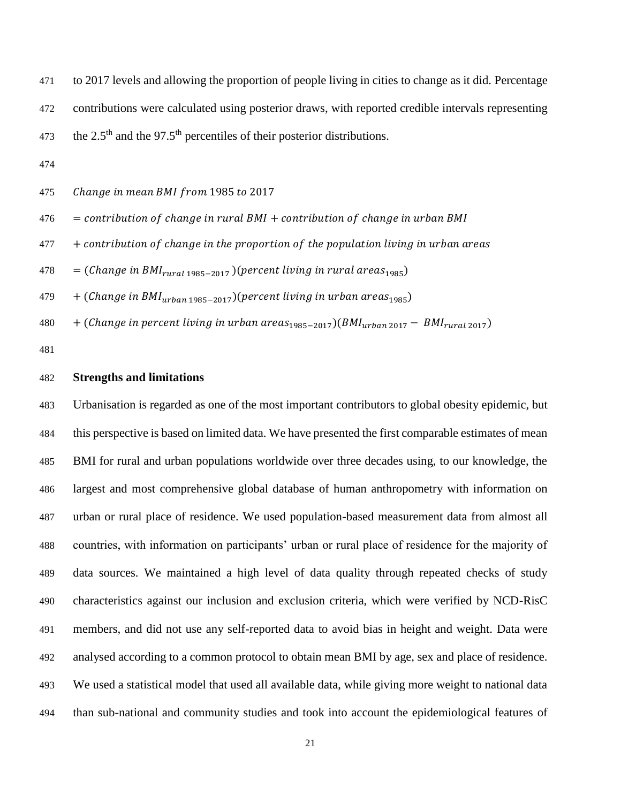to 2017 levels and allowing the proportion of people living in cities to change as it did. Percentage contributions were calculated using posterior draws, with reported credible intervals representing 473 the  $2.5<sup>th</sup>$  and the 97.5<sup>th</sup> percentiles of their posterior distributions.

475 Change in mean BMI from 1985 to 2017

 $476 =$  contribution of change in rural BMI + contribution of change in urban BMI

 $\frac{477}{+}$  contribution of change in the proportion of the population living in urban areas

 $\frac{478}{5}$  = (Change in BMI<sub>rural</sub>  $\frac{1985-2017}{2}$ ) (percent living in rural areas<sub>1985</sub>)

 $479 + (Change in BMI<sub>urban 1985-2017</sub>)(percent living in urban areas<sub>1985</sub>)$ 

 $+$  (Change in percent living in urban areas<sub>1985-2017</sub>)(BMI<sub>urban 2017</sub> – BMI<sub>rural 2017</sub>)

#### **Strengths and limitations**

 Urbanisation is regarded as one of the most important contributors to global obesity epidemic, but this perspective is based on limited data. We have presented the first comparable estimates of mean BMI for rural and urban populations worldwide over three decades using, to our knowledge, the largest and most comprehensive global database of human anthropometry with information on urban or rural place of residence. We used population-based measurement data from almost all countries, with information on participants' urban or rural place of residence for the majority of data sources. We maintained a high level of data quality through repeated checks of study characteristics against our inclusion and exclusion criteria, which were verified by NCD-RisC members, and did not use any self-reported data to avoid bias in height and weight. Data were analysed according to a common protocol to obtain mean BMI by age, sex and place of residence. We used a statistical model that used all available data, while giving more weight to national data than sub-national and community studies and took into account the epidemiological features of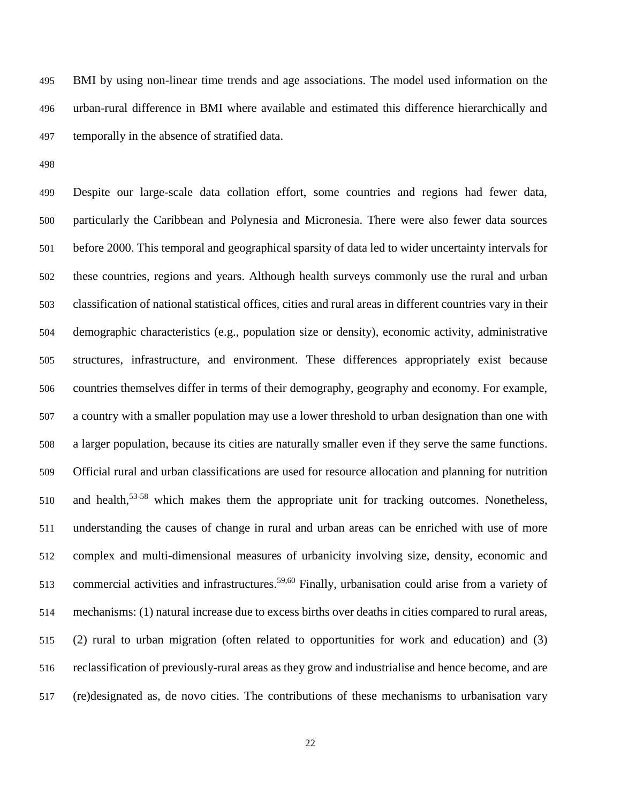BMI by using non-linear time trends and age associations. The model used information on the urban-rural difference in BMI where available and estimated this difference hierarchically and temporally in the absence of stratified data.

 Despite our large-scale data collation effort, some countries and regions had fewer data, particularly the Caribbean and Polynesia and Micronesia. There were also fewer data sources before 2000. This temporal and geographical sparsity of data led to wider uncertainty intervals for these countries, regions and years. Although health surveys commonly use the rural and urban classification of national statistical offices, cities and rural areas in different countries vary in their demographic characteristics (e.g., population size or density), economic activity, administrative structures, infrastructure, and environment. These differences appropriately exist because countries themselves differ in terms of their demography, geography and economy. For example, a country with a smaller population may use a lower threshold to urban designation than one with a larger population, because its cities are naturally smaller even if they serve the same functions. Official rural and urban classifications are used for resource allocation and planning for nutrition 510 and health,  $53-58$  which makes them the appropriate unit for tracking outcomes. Nonetheless, understanding the causes of change in rural and urban areas can be enriched with use of more complex and multi-dimensional measures of urbanicity involving size, density, economic and 513 commercial activities and infrastructures.<sup>59,60</sup> Finally, urbanisation could arise from a variety of mechanisms: (1) natural increase due to excess births over deaths in cities compared to rural areas, (2) rural to urban migration (often related to opportunities for work and education) and (3) reclassification of previously-rural areas as they grow and industrialise and hence become, and are (re)designated as, de novo cities. The contributions of these mechanisms to urbanisation vary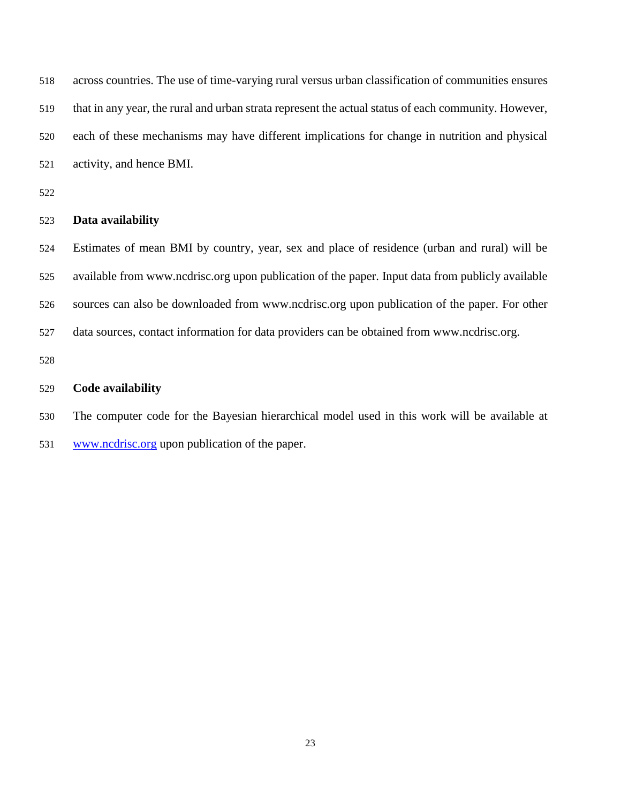across countries. The use of time-varying rural versus urban classification of communities ensures that in any year, the rural and urban strata represent the actual status of each community. However, each of these mechanisms may have different implications for change in nutrition and physical activity, and hence BMI.

#### **Data availability**

 Estimates of mean BMI by country, year, sex and place of residence (urban and rural) will be available from www.ncdrisc.org upon publication of the paper. Input data from publicly available sources can also be downloaded from www.ncdrisc.org upon publication of the paper. For other data sources, contact information for data providers can be obtained from www.ncdrisc.org.

#### **Code availability**

 The computer code for the Bayesian hierarchical model used in this work will be available at www.ncdrisc.org upon publication of the paper.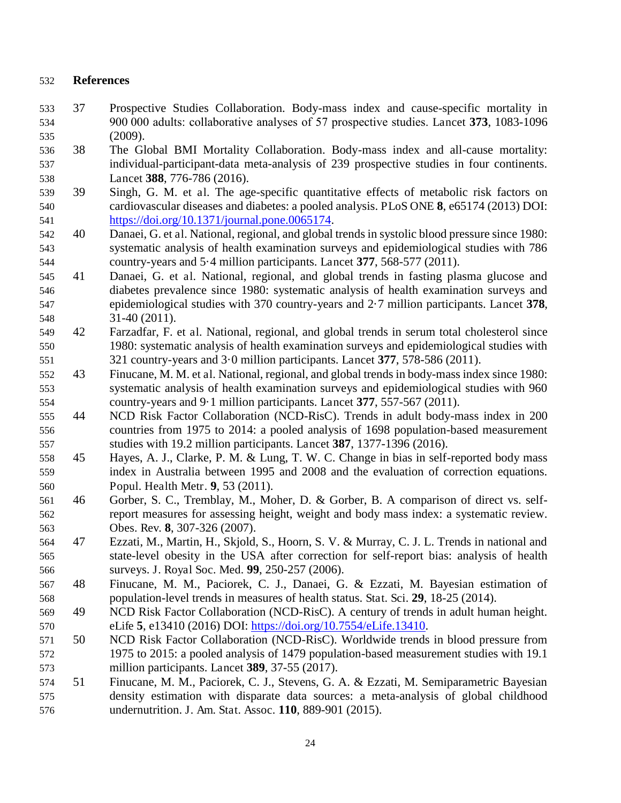## **References**

- 37 Prospective Studies Collaboration. Body-mass index and cause-specific mortality in 900 000 adults: collaborative analyses of 57 prospective studies. Lancet **373**, 1083-1096 (2009).
- 38 The Global BMI Mortality Collaboration. Body-mass index and all-cause mortality: individual-participant-data meta-analysis of 239 prospective studies in four continents. Lancet **388**, 776-786 (2016).
- 39 Singh, G. M. et al. The age-specific quantitative effects of metabolic risk factors on cardiovascular diseases and diabetes: a pooled analysis. PLoS ONE **8**, e65174 (2013) DOI: https://doi.org/10.1371/journal.pone.0065174.
- 40 Danaei, G. et al. National, regional, and global trends in systolic blood pressure since 1980: systematic analysis of health examination surveys and epidemiological studies with 786 country-years and 5·4 million participants. Lancet **377**, 568-577 (2011).
- 41 Danaei, G. et al. National, regional, and global trends in fasting plasma glucose and diabetes prevalence since 1980: systematic analysis of health examination surveys and epidemiological studies with 370 country-years and 2·7 million participants. Lancet **378**, 31-40 (2011).
- 42 Farzadfar, F. et al. National, regional, and global trends in serum total cholesterol since 1980: systematic analysis of health examination surveys and epidemiological studies with 321 country-years and 3·0 million participants. Lancet **377**, 578-586 (2011).
- 43 Finucane, M. M. et al. National, regional, and global trends in body-mass index since 1980: systematic analysis of health examination surveys and epidemiological studies with 960 country-years and 9·1 million participants. Lancet **377**, 557-567 (2011).
- 44 NCD Risk Factor Collaboration (NCD-RisC). Trends in adult body-mass index in 200 countries from 1975 to 2014: a pooled analysis of 1698 population-based measurement studies with 19.2 million participants. Lancet **387**, 1377-1396 (2016).
- 45 Hayes, A. J., Clarke, P. M. & Lung, T. W. C. Change in bias in self-reported body mass index in Australia between 1995 and 2008 and the evaluation of correction equations. Popul. Health Metr. **9**, 53 (2011).
- 46 Gorber, S. C., Tremblay, M., Moher, D. & Gorber, B. A comparison of direct vs. self- report measures for assessing height, weight and body mass index: a systematic review. Obes. Rev. **8**, 307-326 (2007).
- 47 Ezzati, M., Martin, H., Skjold, S., Hoorn, S. V. & Murray, C. J. L. Trends in national and state-level obesity in the USA after correction for self-report bias: analysis of health surveys. J. Royal Soc. Med. **99**, 250-257 (2006).
- 48 Finucane, M. M., Paciorek, C. J., Danaei, G. & Ezzati, M. Bayesian estimation of population-level trends in measures of health status. Stat. Sci. **29**, 18-25 (2014).
- 49 NCD Risk Factor Collaboration (NCD-RisC). A century of trends in adult human height. eLife **5**, e13410 (2016) DOI: https://doi.org/10.7554/eLife.13410.
- 50 NCD Risk Factor Collaboration (NCD-RisC). Worldwide trends in blood pressure from 1975 to 2015: a pooled analysis of 1479 population-based measurement studies with 19.1 million participants. Lancet **389**, 37-55 (2017).
- 51 Finucane, M. M., Paciorek, C. J., Stevens, G. A. & Ezzati, M. Semiparametric Bayesian density estimation with disparate data sources: a meta-analysis of global childhood undernutrition. J. Am. Stat. Assoc. **110**, 889-901 (2015).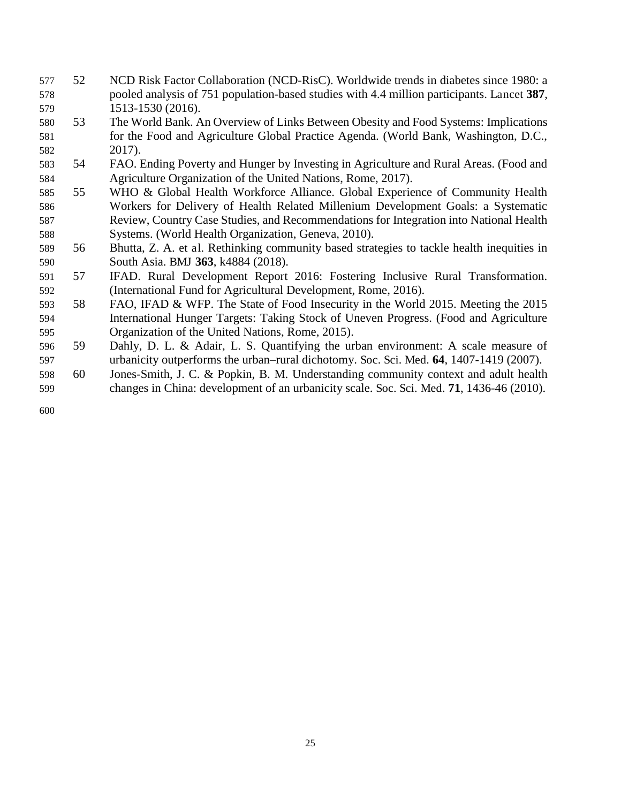- 52 NCD Risk Factor Collaboration (NCD-RisC). Worldwide trends in diabetes since 1980: a pooled analysis of 751 population-based studies with 4.4 million participants. Lancet **387**, 1513-1530 (2016).
- 53 The World Bank. An Overview of Links Between Obesity and Food Systems: Implications for the Food and Agriculture Global Practice Agenda. (World Bank, Washington, D.C., 2017).
- 54 FAO. Ending Poverty and Hunger by Investing in Agriculture and Rural Areas. (Food and Agriculture Organization of the United Nations, Rome, 2017).
- 55 WHO & Global Health Workforce Alliance. Global Experience of Community Health Workers for Delivery of Health Related Millenium Development Goals: a Systematic Review, Country Case Studies, and Recommendations for Integration into National Health Systems. (World Health Organization, Geneva, 2010).
- 56 Bhutta, Z. A. et al. Rethinking community based strategies to tackle health inequities in South Asia. BMJ **363**, k4884 (2018).
- 57 IFAD. Rural Development Report 2016: Fostering Inclusive Rural Transformation. (International Fund for Agricultural Development, Rome, 2016).
- 58 FAO, IFAD & WFP. The State of Food Insecurity in the World 2015. Meeting the 2015 International Hunger Targets: Taking Stock of Uneven Progress. (Food and Agriculture Organization of the United Nations, Rome, 2015).
- 59 Dahly, D. L. & Adair, L. S. Quantifying the urban environment: A scale measure of urbanicity outperforms the urban–rural dichotomy. Soc. Sci. Med. **64**, 1407-1419 (2007).
- 60 Jones-Smith, J. C. & Popkin, B. M. Understanding community context and adult health changes in China: development of an urbanicity scale. Soc. Sci. Med. **71**, 1436-46 (2010).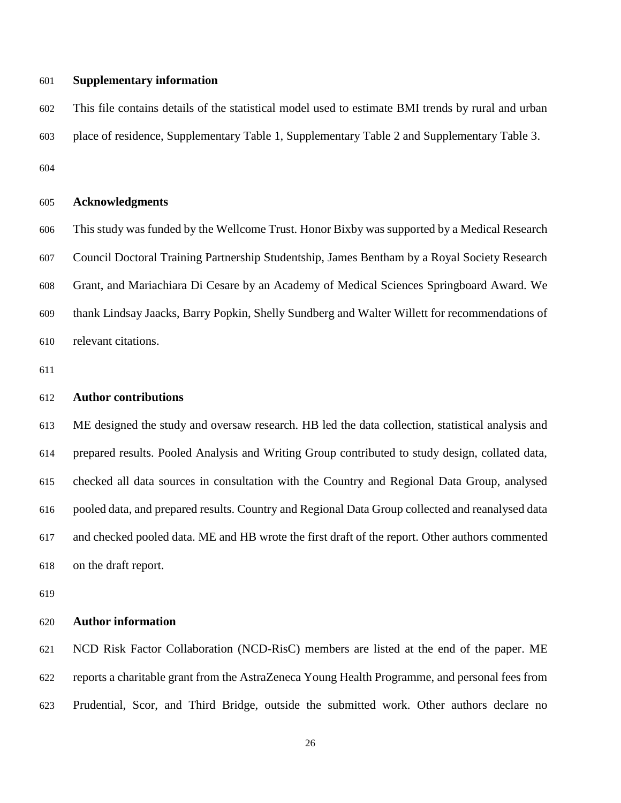#### **Supplementary information**

 This file contains details of the statistical model used to estimate BMI trends by rural and urban place of residence, Supplementary Table 1, Supplementary Table 2 and Supplementary Table 3. 

#### **Acknowledgments**

 This study was funded by the Wellcome Trust. Honor Bixby was supported by a Medical Research Council Doctoral Training Partnership Studentship, James Bentham by a Royal Society Research Grant, and Mariachiara Di Cesare by an Academy of Medical Sciences Springboard Award. We thank Lindsay Jaacks, Barry Popkin, Shelly Sundberg and Walter Willett for recommendations of relevant citations.

#### **Author contributions**

 ME designed the study and oversaw research. HB led the data collection, statistical analysis and prepared results. Pooled Analysis and Writing Group contributed to study design, collated data, checked all data sources in consultation with the Country and Regional Data Group, analysed pooled data, and prepared results. Country and Regional Data Group collected and reanalysed data and checked pooled data. ME and HB wrote the first draft of the report. Other authors commented on the draft report.

#### **Author information**

 NCD Risk Factor Collaboration (NCD-RisC) members are listed at the end of the paper. ME reports a charitable grant from the AstraZeneca Young Health Programme, and personal fees from Prudential, Scor, and Third Bridge, outside the submitted work. Other authors declare no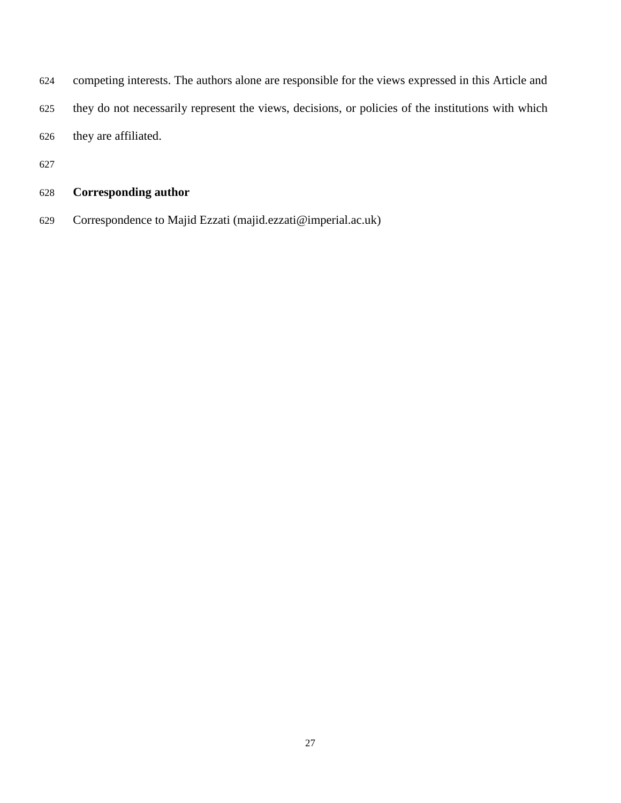- competing interests. The authors alone are responsible for the views expressed in this Article and they do not necessarily represent the views, decisions, or policies of the institutions with which they are affiliated.
- 

## **Corresponding author**

Correspondence to Majid Ezzati (majid.ezzati@imperial.ac.uk)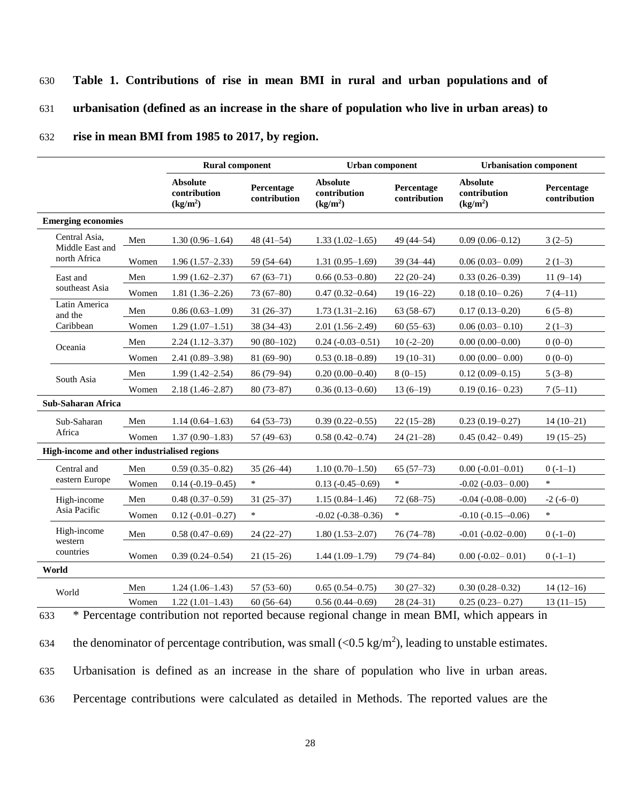#### 630 **Table 1. Contributions of rise in mean BMI in rural and urban populations and of**

631 **urbanisation (defined as an increase in the share of population who live in urban areas) to** 

#### 632 **rise in mean BMI from 1985 to 2017, by region.**

|                           | <b>Rural component</b>                                  |                                              | Urban component                                         |                            | <b>Urbanisation component</b>                           |                            |
|---------------------------|---------------------------------------------------------|----------------------------------------------|---------------------------------------------------------|----------------------------|---------------------------------------------------------|----------------------------|
|                           | <b>Absolute</b><br>contribution<br>(kg/m <sup>2</sup> ) | Percentage<br>contribution                   | <b>Absolute</b><br>contribution<br>(kg/m <sup>2</sup> ) | Percentage<br>contribution | <b>Absolute</b><br>contribution<br>(kg/m <sup>2</sup> ) | Percentage<br>contribution |
| <b>Emerging economies</b> |                                                         |                                              |                                                         |                            |                                                         |                            |
| Men                       | $1.30(0.96 - 1.64)$                                     | 48 $(41-54)$                                 | $1.33(1.02 - 1.65)$                                     | 49 (44-54)                 | $0.09(0.06 - 0.12)$                                     | $3(2-5)$                   |
| Women                     | $1.96(1.57-2.33)$                                       | 59 $(54-64)$                                 | $1.31(0.95-1.69)$                                       | $39(34 - 44)$              | $0.06(0.03 - 0.09)$                                     | $2(1-3)$                   |
| Men                       | $1.99(1.62 - 2.37)$                                     | $67(63-71)$                                  | $0.66(0.53 - 0.80)$                                     | $22(20-24)$                | $0.33(0.26 - 0.39)$                                     | $11(9-14)$                 |
| Women                     | $1.81(1.36-2.26)$                                       | $73(67-80)$                                  | $0.47(0.32 - 0.64)$                                     | $19(16-22)$                | $0.18(0.10-0.26)$                                       | $7(4-11)$                  |
| Men                       | $0.86(0.63-1.09)$                                       | $31(26-37)$                                  | $1.73(1.31-2.16)$                                       | $63(58-67)$                | $0.17(0.13 - 0.20)$                                     | $6(5-8)$                   |
| Women                     | $1.29(1.07-1.51)$                                       | $38(34 - 43)$                                | $2.01(1.56-2.49)$                                       | $60(55-63)$                | $0.06(0.03 - 0.10)$                                     | $2(1-3)$                   |
| Men                       | $2.24(1.12-3.37)$                                       | $90(80-102)$                                 | $0.24 (-0.03 - 0.51)$                                   | $10(-2-20)$                | $0.00(0.00-0.00)$                                       | $0(0-0)$                   |
| Women                     | $2.41(0.89 - 3.98)$                                     | $81(69-90)$                                  | $0.53(0.18 - 0.89)$                                     | $19(10-31)$                | $0.00(0.00 - 0.00)$                                     | $0(0-0)$                   |
| Men                       | $1.99(1.42 - 2.54)$                                     | 86 (79-94)                                   | $0.20(0.00-0.40)$                                       | $8(0-15)$                  | $0.12(0.09 - 0.15)$                                     | $5(3-8)$                   |
| Women                     | $2.18(1.46 - 2.87)$                                     | $80(73 - 87)$                                | $0.36(0.13-0.60)$                                       | $13(6-19)$                 | $0.19(0.16 - 0.23)$                                     | $7(5-11)$                  |
| Sub-Saharan Africa        |                                                         |                                              |                                                         |                            |                                                         |                            |
| Men                       | $1.14(0.64 - 1.63)$                                     | $64(53-73)$                                  | $0.39(0.22 - 0.55)$                                     | $22(15-28)$                | $0.23(0.19-0.27)$                                       | $14(10-21)$                |
| Women                     | $1.37(0.90 - 1.83)$                                     | $57(49-63)$                                  | $0.58(0.42 - 0.74)$                                     | $24(21-28)$                | $0.45(0.42 - 0.49)$                                     | $19(15-25)$                |
|                           |                                                         |                                              |                                                         |                            |                                                         |                            |
| Men                       | $0.59(0.35 - 0.82)$                                     | $35(26-44)$                                  | $1.10(0.70-1.50)$                                       | $65(57-73)$                | $0.00(-0.01-0.01)$                                      | $0(-1-1)$                  |
| Women                     | $0.14 (-0.19 - 0.45)$                                   | $\ast$                                       | $0.13 (-0.45 - 0.69)$                                   | $\ast$                     | $-0.02$ $(-0.03 - 0.00)$                                | $\ast$                     |
| Men                       | $0.48(0.37-0.59)$                                       | $31(25-37)$                                  | $1.15(0.84 - 1.46)$                                     | $72(68-75)$                | $-0.04$ $(-0.08 - 0.00)$                                | $-2(-6-0)$                 |
| Women                     | $0.12 (-0.01 - 0.27)$                                   | $\ast$                                       | $-0.02$ $(-0.38 - 0.36)$                                | $\ast$                     | $-0.10(-0.15-0.06)$                                     | $\ast$                     |
| Men                       | $0.58(0.47-0.69)$                                       | $24(22 - 27)$                                | $1.80(1.53 - 2.07)$                                     | $76(74 - 78)$              | $-0.01$ $(-0.02 - 0.00)$                                | $0(-1-0)$                  |
| Women                     | $0.39(0.24 - 0.54)$                                     | $21(15-26)$                                  | $1.44(1.09-1.79)$                                       | 79 (74-84)                 | $0.00 (-0.02 - 0.01)$                                   | $0(-1-1)$                  |
|                           |                                                         |                                              |                                                         |                            |                                                         |                            |
| Men                       | $1.24(1.06-1.43)$                                       | $57(53-60)$                                  | $0.65(0.54 - 0.75)$                                     | $30(27-32)$                | $0.30(0.28 - 0.32)$                                     | $14(12-16)$                |
| Women                     | $1.22(1.01-1.43)$                                       | $60(56-64)$                                  | $0.56(0.44 - 0.69)$                                     | $28(24-31)$                | $0.25(0.23 - 0.27)$                                     | $13(11-15)$                |
|                           |                                                         | High-income and other industrialised regions |                                                         |                            |                                                         |                            |

633 \* Percentage contribution not reported because regional change in mean BMI, which appears in

634 the denominator of percentage contribution, was small  $(< 0.5 \text{ kg/m}^2)$ , leading to unstable estimates.

635 Urbanisation is defined as an increase in the share of population who live in urban areas.

636 Percentage contributions were calculated as detailed in Methods. The reported values are the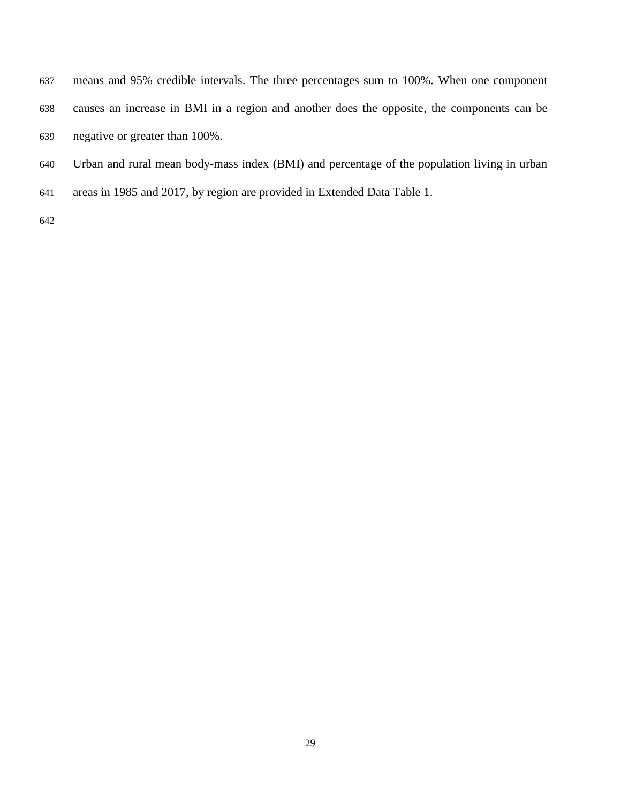means and 95% credible intervals. The three percentages sum to 100%. When one component causes an increase in BMI in a region and another does the opposite, the components can be negative or greater than 100%.

- Urban and rural mean body-mass index (BMI) and percentage of the population living in urban
- areas in 1985 and 2017, by region are provided in Extended Data Table 1.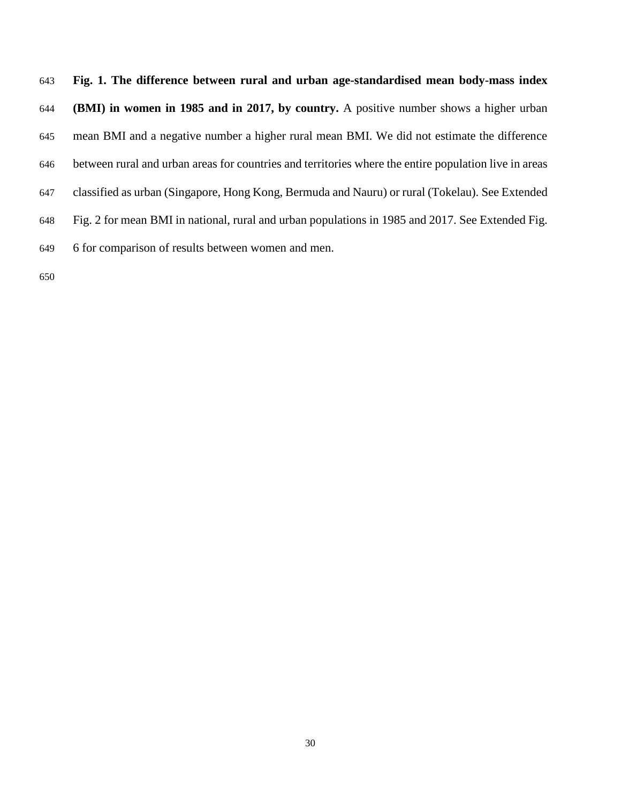**Fig. 1. The difference between rural and urban age-standardised mean body-mass index (BMI) in women in 1985 and in 2017, by country.** A positive number shows a higher urban mean BMI and a negative number a higher rural mean BMI. We did not estimate the difference between rural and urban areas for countries and territories where the entire population live in areas classified as urban (Singapore, Hong Kong, Bermuda and Nauru) or rural (Tokelau). See Extended Fig. 2 for mean BMI in national, rural and urban populations in 1985 and 2017. See Extended Fig. 6 for comparison of results between women and men.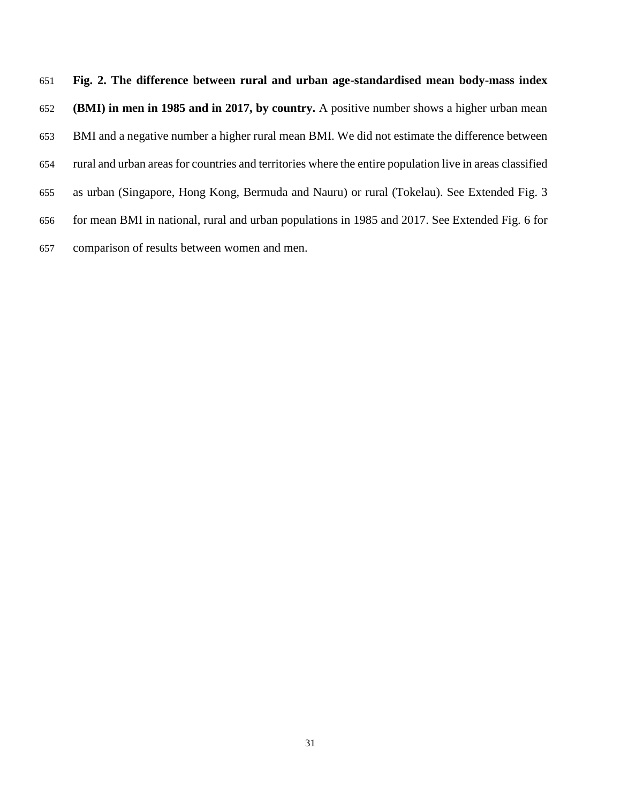**Fig. 2. The difference between rural and urban age-standardised mean body-mass index (BMI) in men in 1985 and in 2017, by country.** A positive number shows a higher urban mean BMI and a negative number a higher rural mean BMI. We did not estimate the difference between rural and urban areas for countries and territories where the entire population live in areas classified as urban (Singapore, Hong Kong, Bermuda and Nauru) or rural (Tokelau). See Extended Fig. 3 for mean BMI in national, rural and urban populations in 1985 and 2017. See Extended Fig. 6 for comparison of results between women and men.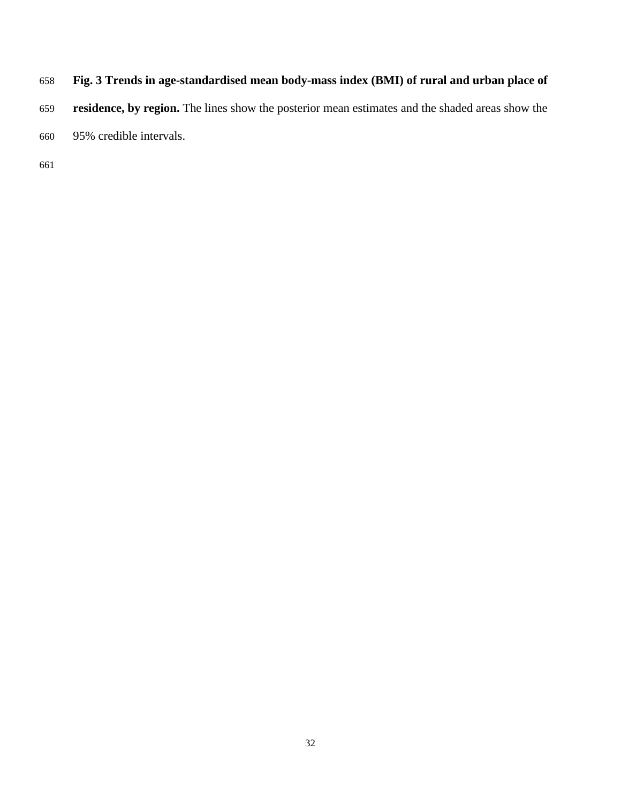- **Fig. 3 Trends in age-standardised mean body-mass index (BMI) of rural and urban place of**
- **residence, by region.** The lines show the posterior mean estimates and the shaded areas show the
- 95% credible intervals.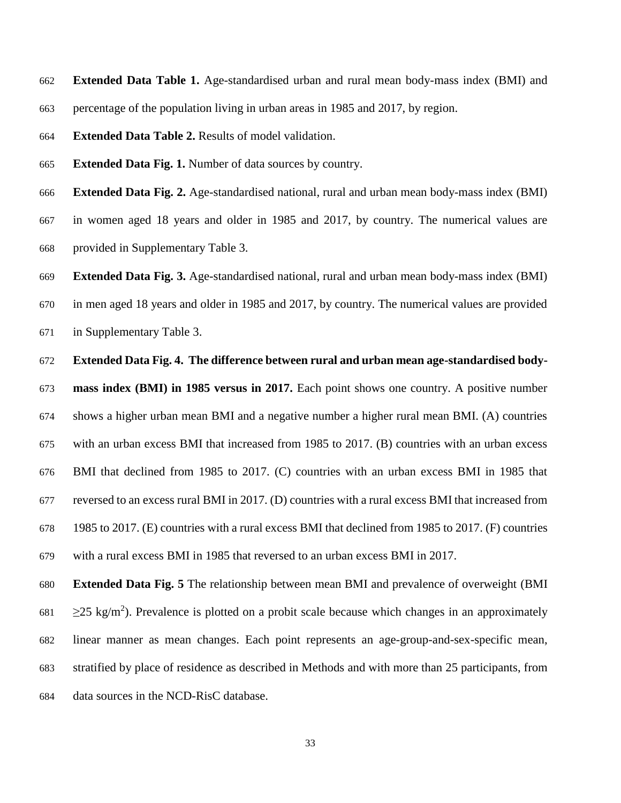**Extended Data Table 1.** Age-standardised urban and rural mean body-mass index (BMI) and percentage of the population living in urban areas in 1985 and 2017, by region.

**Extended Data Table 2.** Results of model validation.

**Extended Data Fig. 1.** Number of data sources by country.

**Extended Data Fig. 2.** Age-standardised national, rural and urban mean body-mass index (BMI)

 in women aged 18 years and older in 1985 and 2017, by country. The numerical values are provided in Supplementary Table 3.

 **Extended Data Fig. 3.** Age-standardised national, rural and urban mean body-mass index (BMI) in men aged 18 years and older in 1985 and 2017, by country. The numerical values are provided in Supplementary Table 3.

**Extended Data Fig. 4. The difference between rural and urban mean age-standardised body-**

 **mass index (BMI) in 1985 versus in 2017.** Each point shows one country. A positive number shows a higher urban mean BMI and a negative number a higher rural mean BMI. (A) countries with an urban excess BMI that increased from 1985 to 2017. (B) countries with an urban excess BMI that declined from 1985 to 2017. (C) countries with an urban excess BMI in 1985 that reversed to an excess rural BMI in 2017. (D) countries with a rural excess BMI that increased from 1985 to 2017. (E) countries with a rural excess BMI that declined from 1985 to 2017. (F) countries with a rural excess BMI in 1985 that reversed to an urban excess BMI in 2017.

 **Extended Data Fig. 5** The relationship between mean BMI and prevalence of overweight (BMI  $\geq$ 25 kg/m<sup>2</sup>). Prevalence is plotted on a probit scale because which changes in an approximately linear manner as mean changes. Each point represents an age-group-and-sex-specific mean, stratified by place of residence as described in Methods and with more than 25 participants, from data sources in the NCD-RisC database.